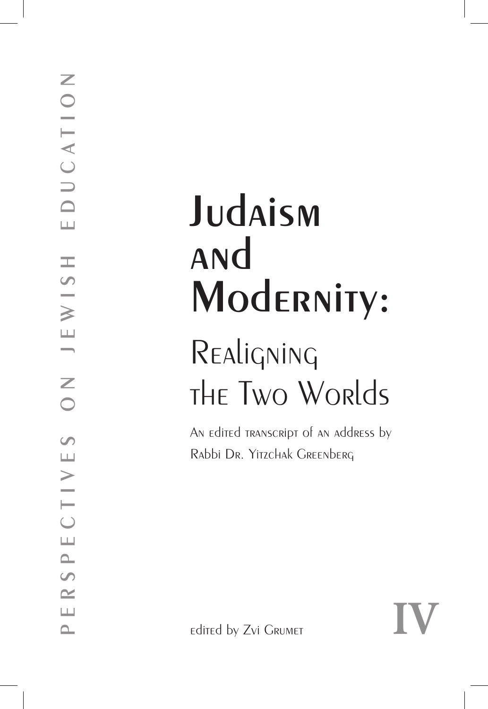# **Judaism and Modernity:**

## Realigning the Two Worlds

An edited transcript of an address by Rabbi Dr. Yitzchak Greenberg

edited by Zvi Grumet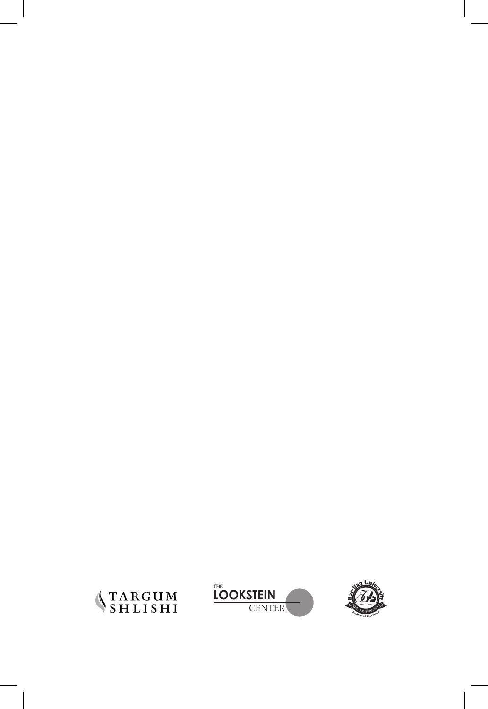



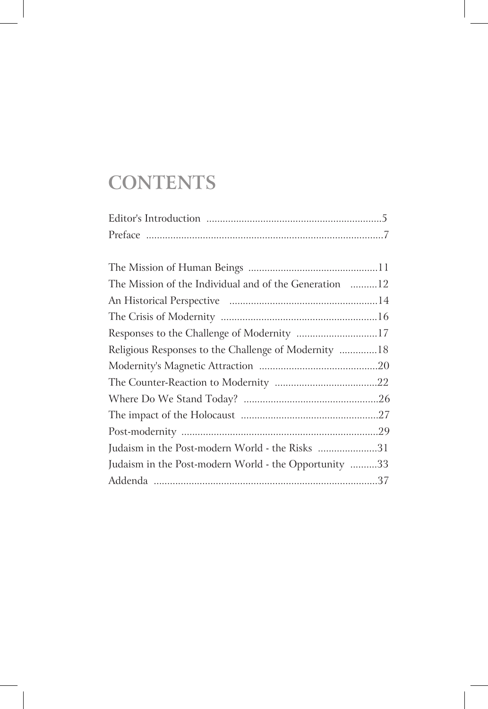### **CONTENTS**

| The Mission of the Individual and of the Generation 12 |  |
|--------------------------------------------------------|--|
|                                                        |  |
|                                                        |  |
| Responses to the Challenge of Modernity 17             |  |
| Religious Responses to the Challenge of Modernity 18   |  |
|                                                        |  |
|                                                        |  |
|                                                        |  |
|                                                        |  |
|                                                        |  |
| Judaism in the Post-modern World - the Risks 31        |  |
| Judaism in the Post-modern World - the Opportunity 33  |  |
|                                                        |  |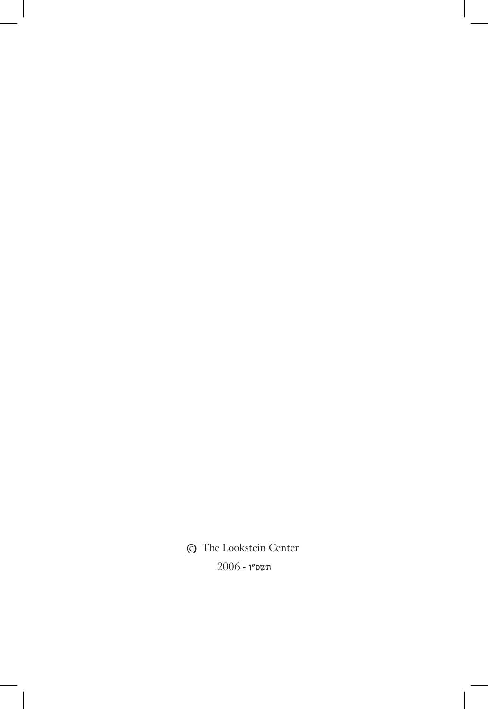**©** The Lookstein Center  $2006$  - תשס"ו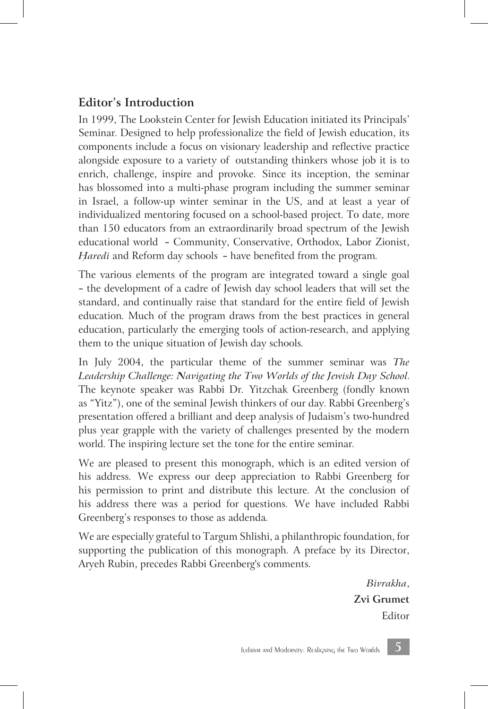#### **Editor's Introduction**

In 1999, The Lookstein Center for Jewish Education initiated its Principals' Seminar. Designed to help professionalize the field of Jewish education, its components include a focus on visionary leadership and reflective practice alongside exposure to a variety of outstanding thinkers whose job it is to enrich, challenge, inspire and provoke. Since its inception, the seminar has blossomed into a multi-phase program including the summer seminar in Israel, a follow-up winter seminar in the US, and at least a year of individualized mentoring focused on a school-based project. To date, more than 150 educators from an extraordinarily broad spectrum of the Jewish educational world — Community, Conservative, Orthodox, Labor Zionist, *Haredi* and Reform day schools – have benefited from the program.

The various elements of the program are integrated toward a single goal — the development of a cadre of Jewish day school leaders that will set the standard, and continually raise that standard for the entire field of Jewish education. Much of the program draws from the best practices in general education, particularly the emerging tools of action-research, and applying them to the unique situation of Jewish day schools.

In July 2004, the particular theme of the summer seminar was *The Leadership Challenge: Navigating the Two Worlds of the Jewish Day School*. The keynote speaker was Rabbi Dr. Yitzchak Greenberg (fondly known as "Yitz"), one of the seminal Jewish thinkers of our day. Rabbi Greenberg's presentation offered a brilliant and deep analysis of Judaism's two-hundred plus year grapple with the variety of challenges presented by the modern world. The inspiring lecture set the tone for the entire seminar.

We are pleased to present this monograph, which is an edited version of his address. We express our deep appreciation to Rabbi Greenberg for his permission to print and distribute this lecture. At the conclusion of his address there was a period for questions. We have included Rabbi Greenberg's responses to those as addenda.

We are especially grateful to Targum Shlishi, a philanthropic foundation, for supporting the publication of this monograph. A preface by its Director, Aryeh Rubin, precedes Rabbi Greenberg's comments.

> *Bivrakha*, **Zvi Grumet** Editor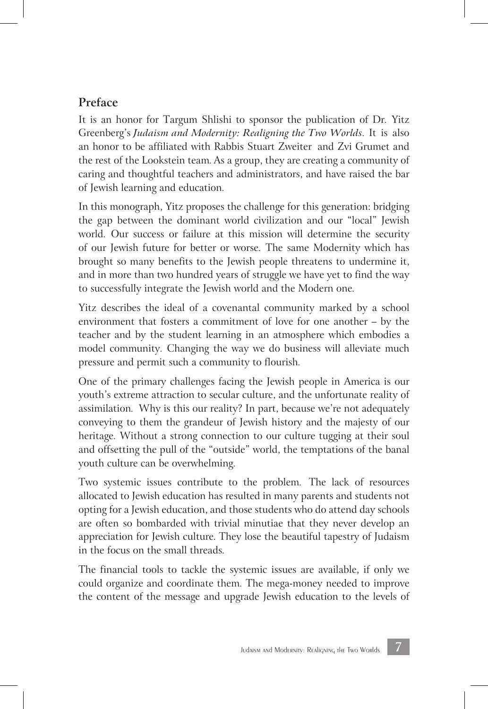#### **Preface**

It is an honor for Targum Shlishi to sponsor the publication of Dr. Yitz Greenberg's *Judaism and Modernity: Realigning the Two Worlds*. It is also an honor to be affiliated with Rabbis Stuart Zweiter and Zvi Grumet and the rest of the Lookstein team. As a group, they are creating a community of caring and thoughtful teachers and administrators, and have raised the bar of Jewish learning and education.

In this monograph, Yitz proposes the challenge for this generation: bridging the gap between the dominant world civilization and our "local" Jewish world. Our success or failure at this mission will determine the security of our Jewish future for better or worse. The same Modernity which has brought so many benefits to the Jewish people threatens to undermine it, and in more than two hundred years of struggle we have yet to find the way to successfully integrate the Jewish world and the Modern one.

Yitz describes the ideal of a covenantal community marked by a school environment that fosters a commitment of love for one another – by the teacher and by the student learning in an atmosphere which embodies a model community. Changing the way we do business will alleviate much pressure and permit such a community to flourish.

One of the primary challenges facing the Jewish people in America is our youth's extreme attraction to secular culture, and the unfortunate reality of assimilation. Why is this our reality? In part, because we're not adequately conveying to them the grandeur of Jewish history and the majesty of our heritage. Without a strong connection to our culture tugging at their soul and offsetting the pull of the "outside" world, the temptations of the banal youth culture can be overwhelming.

Two systemic issues contribute to the problem. The lack of resources allocated to Jewish education has resulted in many parents and students not opting for a Jewish education, and those students who do attend day schools are often so bombarded with trivial minutiae that they never develop an appreciation for Jewish culture. They lose the beautiful tapestry of Judaism in the focus on the small threads.

The financial tools to tackle the systemic issues are available, if only we could organize and coordinate them. The mega-money needed to improve the content of the message and upgrade Jewish education to the levels of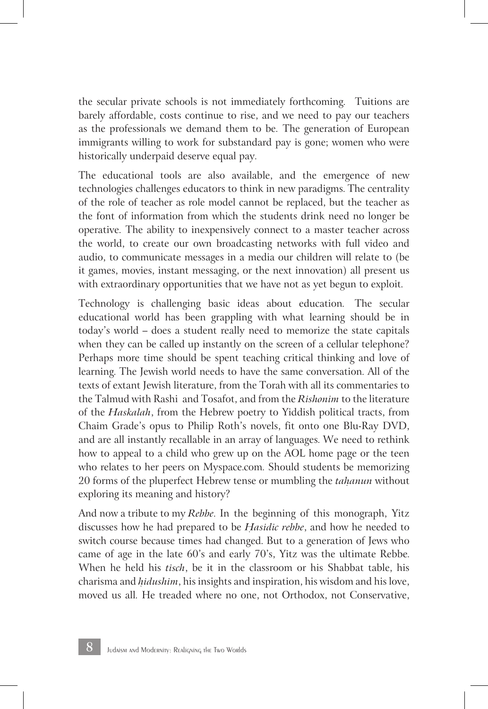the secular private schools is not immediately forthcoming. Tuitions are barely affordable, costs continue to rise, and we need to pay our teachers as the professionals we demand them to be. The generation of European immigrants willing to work for substandard pay is gone; women who were historically underpaid deserve equal pay.

The educational tools are also available, and the emergence of new technologies challenges educators to think in new paradigms. The centrality of the role of teacher as role model cannot be replaced, but the teacher as the font of information from which the students drink need no longer be operative. The ability to inexpensively connect to a master teacher across the world, to create our own broadcasting networks with full video and audio, to communicate messages in a media our children will relate to (be it games, movies, instant messaging, or the next innovation) all present us with extraordinary opportunities that we have not as yet begun to exploit.

Technology is challenging basic ideas about education. The secular educational world has been grappling with what learning should be in today's world – does a student really need to memorize the state capitals when they can be called up instantly on the screen of a cellular telephone? Perhaps more time should be spent teaching critical thinking and love of learning. The Jewish world needs to have the same conversation. All of the texts of extant Jewish literature, from the Torah with all its commentaries to the Talmud with Rashi and Tosafot, and from the *Rishonim* to the literature of the *Haskalah*, from the Hebrew poetry to Yiddish political tracts, from Chaim Grade's opus to Philip Roth's novels, fit onto one Blu-Ray DVD, and are all instantly recallable in an array of languages. We need to rethink how to appeal to a child who grew up on the AOL home page or the teen who relates to her peers on Myspace.com. Should students be memorizing 20 forms of the pluperfect Hebrew tense or mumbling the *tahanun* without exploring its meaning and history?

And now a tribute to my *Rebbe*. In the beginning of this monograph, Yitz discusses how he had prepared to be *H*ִ *asidic rebbe*, and how he needed to switch course because times had changed. But to a generation of Jews who came of age in the late 60's and early 70's, Yitz was the ultimate Rebbe. When he held his *tisch*, be it in the classroom or his Shabbat table, his charisma and *h*ִ *idushim*, his insights and inspiration, his wisdom and his love, moved us all. He treaded where no one, not Orthodox, not Conservative,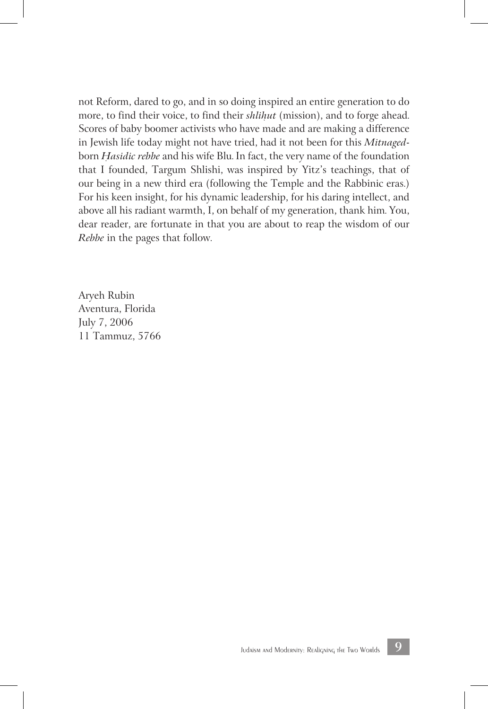not Reform, dared to go, and in so doing inspired an entire generation to do more, to find their voice, to find their *shlihut* (mission), and to forge ahead. Scores of baby boomer activists who have made and are making a difference in Jewish life today might not have tried, had it not been for this *Mitnaged*born *H*ִ *asidic rebbe* and his wife Blu. In fact, the very name of the foundation that I founded, Targum Shlishi, was inspired by Yitz's teachings, that of our being in a new third era (following the Temple and the Rabbinic eras.) For his keen insight, for his dynamic leadership, for his daring intellect, and above all his radiant warmth, I, on behalf of my generation, thank him. You, dear reader, are fortunate in that you are about to reap the wisdom of our *Rebbe* in the pages that follow.

Aryeh Rubin Aventura, Florida July 7, 2006 11 Tammuz, 5766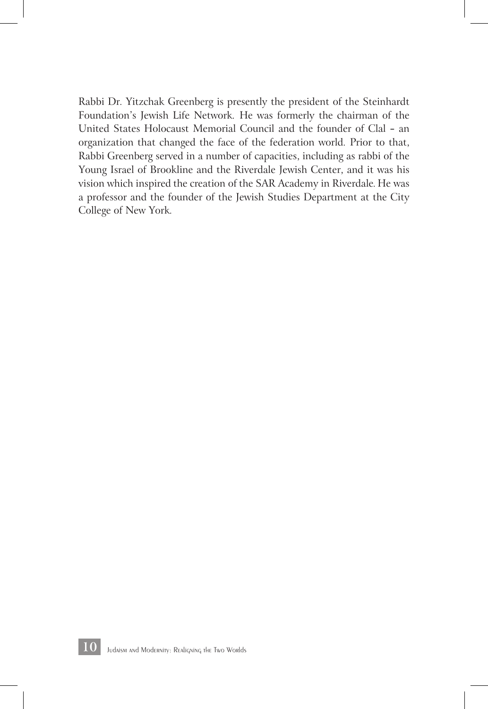Rabbi Dr. Yitzchak Greenberg is presently the president of the Steinhardt Foundation's Jewish Life Network. He was formerly the chairman of the United States Holocaust Memorial Council and the founder of Clal — an organization that changed the face of the federation world. Prior to that, Rabbi Greenberg served in a number of capacities, including as rabbi of the Young Israel of Brookline and the Riverdale Jewish Center, and it was his vision which inspired the creation of the SAR Academy in Riverdale. He was a professor and the founder of the Jewish Studies Department at the City College of New York.

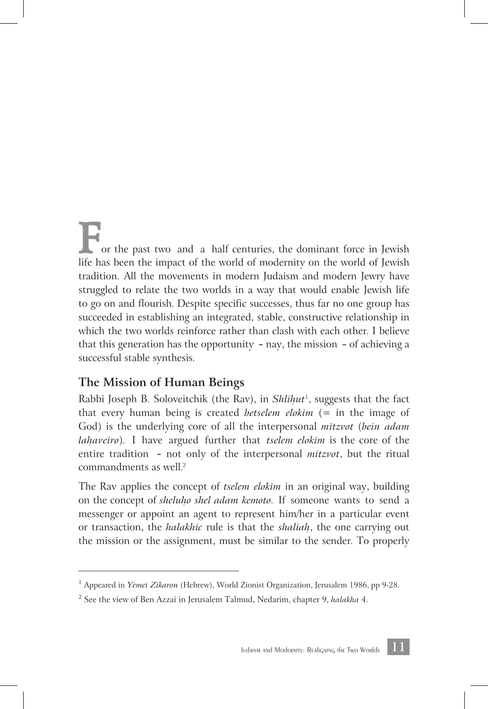or the past two and a half centuries, the dominant force in Jewish life has been the impact of the world of modernity on the world of Jewish tradition. All the movements in modern Judaism and modern Jewry have struggled to relate the two worlds in a way that would enable Jewish life to go on and flourish. Despite specific successes, thus far no one group has succeeded in establishing an integrated, stable, constructive relationship in which the two worlds reinforce rather than clash with each other. I believe that this generation has the opportunity — nay, the mission — of achieving a successful stable synthesis.

#### **The Mission of Human Beings**

Rabbi Joseph B. Soloveitchik (the Rav), in *Shlihut<sup>1</sup>*, suggests that the fact that every human being is created *betselem elokim* (= in the image of God) is the underlying core of all the interpersonal *mitzvot* (*bein adam lahaveiro*). I have argued further that *tselem elokim* is the core of the entire tradition — not only of the interpersonal *mitzvot*, but the ritual commandments as well. 2

The Rav applies the concept of *tselem elokim* in an original way, building on the concept of *sheluh*ִ *o shel adam kemoto*. If someone wants to send a messenger or appoint an agent to represent him/her in a particular event or transaction, the *halakhic* rule is that the *shaliah*ִ , the one carrying out the mission or the assignment, must be similar to the sender. To properly

<sup>1</sup> Appeared in *Yemei Zikaron* (Hebrew), World Zionist Organization, Jerusalem 1986, pp 9-28.

<sup>2</sup> See the view of Ben Azzai in Jerusalem Talmud, Nedarim, chapter 9, *halakha* 4.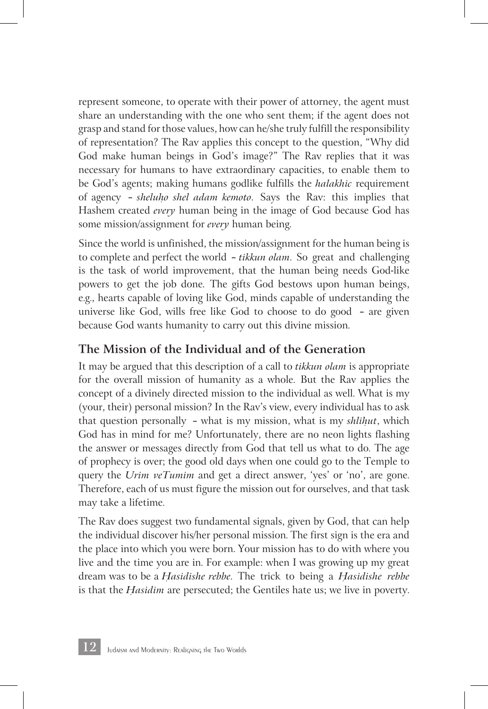represent someone, to operate with their power of attorney, the agent must share an understanding with the one who sent them; if the agent does not grasp and stand for those values, how can he/she truly fulfill the responsibility of representation? The Rav applies this concept to the question, "Why did God make human beings in God's image?" The Rav replies that it was necessary for humans to have extraordinary capacities, to enable them to be God's agents; making humans godlike fulfills the *halakhic* requirement of agency — *sheluh*ִ *o shel adam kemoto*. Says the Rav: this implies that Hashem created *every* human being in the image of God because God has some mission/assignment for *every* human being.

Since the world is unfinished, the mission/assignment for the human being is to complete and perfect the world — *tikkun olam*. So great and challenging is the task of world improvement, that the human being needs God-like powers to get the job done. The gifts God bestows upon human beings, e.g., hearts capable of loving like God, minds capable of understanding the universe like God, wills free like God to choose to do good — are given because God wants humanity to carry out this divine mission.

#### **The Mission of the Individual and of the Generation**

It may be argued that this description of a call to *tikkun olam* is appropriate for the overall mission of humanity as a whole. But the Rav applies the concept of a divinely directed mission to the individual as well. What is my (your, their) personal mission? In the Rav's view, every individual has to ask that question personally - what is my mission, what is my *shlihut*, which God has in mind for me? Unfortunately, there are no neon lights flashing the answer or messages directly from God that tell us what to do. The age of prophecy is over; the good old days when one could go to the Temple to query the *Urim veTumim* and get a direct answer, 'yes' or 'no', are gone. Therefore, each of us must figure the mission out for ourselves, and that task may take a lifetime.

The Rav does suggest two fundamental signals, given by God, that can help the individual discover his/her personal mission. The first sign is the era and the place into which you were born. Your mission has to do with where you live and the time you are in. For example: when I was growing up my great dream was to be a *H*ִ *asidishe rebbe*. The trick to being a *H*ִ *asidishe rebbe* is that the *H*ִ *asidim* are persecuted; the Gentiles hate us; we live in poverty.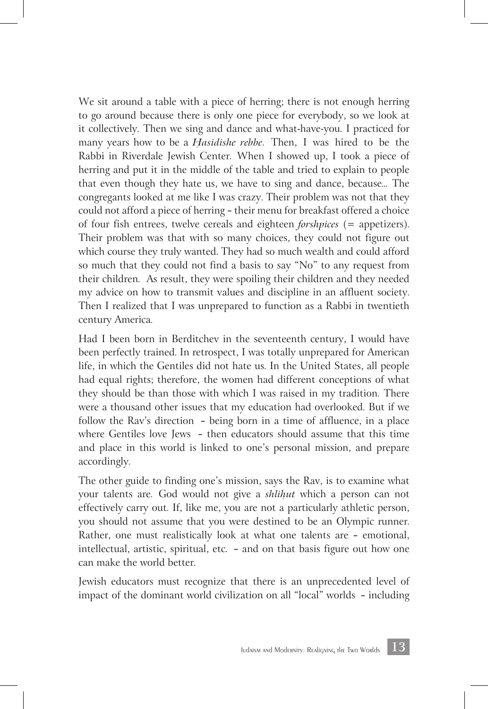We sit around a table with a piece of herring; there is not enough herring to go around because there is only one piece for everybody, so we look at it collectively. Then we sing and dance and what-have-you. I practiced for many years how to be a *Hasidishe rebbe*. Then, I was hired to be the Rabbi in Riverdale Jewish Center. When I showed up, I took a piece of herring and put it in the middle of the table and tried to explain to people that even though they hate us, we have to sing and dance, because... The congregants looked at me like I was crazy. Their problem was not that they could not afford a piece of herring — their menu for breakfast offered a choice of four fish entrees, twelve cereals and eighteen *forshpices* (= appetizers). Their problem was that with so many choices, they could not figure out which course they truly wanted. They had so much wealth and could afford so much that they could not find a basis to say "No" to any request from their children. As result, they were spoiling their children and they needed my advice on how to transmit values and discipline in an affluent society. Then I realized that I was unprepared to function as a Rabbi in twentieth century America.

Had I been born in Berditchev in the seventeenth century, I would have been perfectly trained. In retrospect, I was totally unprepared for American life, in which the Gentiles did not hate us. In the United States, all people had equal rights; therefore, the women had different conceptions of what they should be than those with which I was raised in my tradition. There were a thousand other issues that my education had overlooked. But if we follow the Rav's direction — being born in a time of affluence, in a place where Gentiles love Jews — then educators should assume that this time and place in this world is linked to one's personal mission, and prepare accordingly.

The other guide to finding one's mission, says the Rav, is to examine what your talents are. God would not give a *shlihut* which a person can not effectively carry out. If, like me, you are not a particularly athletic person, you should not assume that you were destined to be an Olympic runner. Rather, one must realistically look at what one talents are — emotional, intellectual, artistic, spiritual, etc. — and on that basis figure out how one can make the world better.

Jewish educators must recognize that there is an unprecedented level of impact of the dominant world civilization on all "local" worlds — including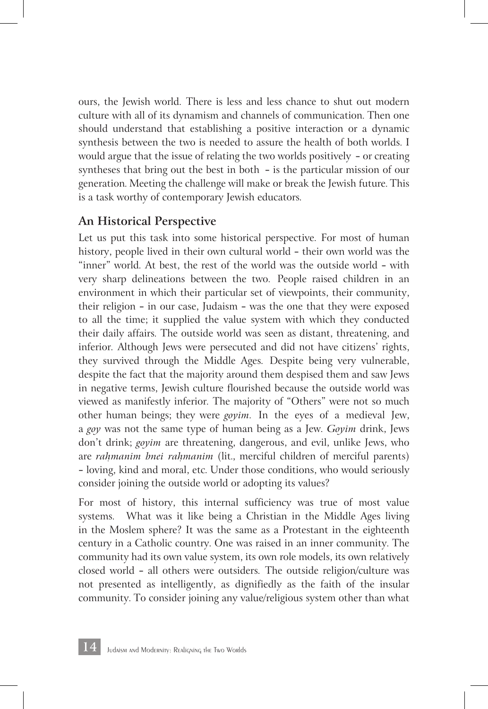ours, the Jewish world. There is less and less chance to shut out modern culture with all of its dynamism and channels of communication. Then one should understand that establishing a positive interaction or a dynamic synthesis between the two is needed to assure the health of both worlds. I would argue that the issue of relating the two worlds positively — or creating syntheses that bring out the best in both — is the particular mission of our generation. Meeting the challenge will make or break the Jewish future. This is a task worthy of contemporary Jewish educators.

#### **An Historical Perspective**

Let us put this task into some historical perspective. For most of human history, people lived in their own cultural world — their own world was the "inner" world. At best, the rest of the world was the outside world — with very sharp delineations between the two. People raised children in an environment in which their particular set of viewpoints, their community, their religion — in our case, Judaism — was the one that they were exposed to all the time; it supplied the value system with which they conducted their daily affairs. The outside world was seen as distant, threatening, and inferior. Although Jews were persecuted and did not have citizens' rights, they survived through the Middle Ages. Despite being very vulnerable, despite the fact that the majority around them despised them and saw Jews in negative terms, Jewish culture flourished because the outside world was viewed as manifestly inferior. The majority of "Others" were not so much other human beings; they were *goyim*. In the eyes of a medieval Jew, a *goy* was not the same type of human being as a Jew. *Goyim* drink, Jews don't drink; *goyim* are threatening, dangerous, and evil, unlike Jews, who are *rah*ִ *manim bnei rah*ִ *manim* (lit., merciful children of merciful parents) — loving, kind and moral, etc. Under those conditions, who would seriously consider joining the outside world or adopting its values?

For most of history, this internal sufficiency was true of most value systems. What was it like being a Christian in the Middle Ages living in the Moslem sphere? It was the same as a Protestant in the eighteenth century in a Catholic country. One was raised in an inner community. The community had its own value system, its own role models, its own relatively closed world — all others were outsiders. The outside religion/culture was not presented as intelligently, as dignifiedly as the faith of the insular community. To consider joining any value/religious system other than what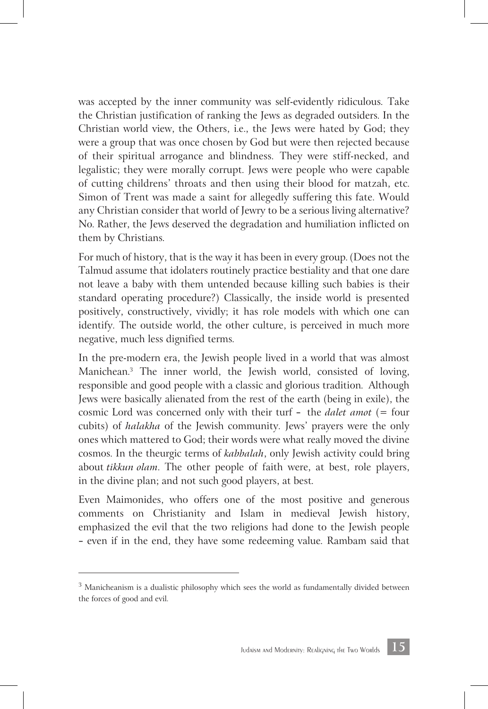was accepted by the inner community was self-evidently ridiculous. Take the Christian justification of ranking the Jews as degraded outsiders. In the Christian world view, the Others, i.e., the Jews were hated by God; they were a group that was once chosen by God but were then rejected because of their spiritual arrogance and blindness. They were stiff-necked, and legalistic; they were morally corrupt. Jews were people who were capable of cutting childrens' throats and then using their blood for matzah, etc. Simon of Trent was made a saint for allegedly suffering this fate. Would any Christian consider that world of Jewry to be a serious living alternative? No. Rather, the Jews deserved the degradation and humiliation inflicted on them by Christians.

For much of history, that is the way it has been in every group. (Does not the Talmud assume that idolaters routinely practice bestiality and that one dare not leave a baby with them untended because killing such babies is their standard operating procedure?) Classically, the inside world is presented positively, constructively, vividly; it has role models with which one can identify. The outside world, the other culture, is perceived in much more negative, much less dignified terms.

In the pre-modern era, the Jewish people lived in a world that was almost Manichean. 3 The inner world, the Jewish world, consisted of loving, responsible and good people with a classic and glorious tradition. Although Jews were basically alienated from the rest of the earth (being in exile), the cosmic Lord was concerned only with their turf — the *dalet amot* (= four cubits) of *halakha* of the Jewish community. Jews' prayers were the only ones which mattered to God; their words were what really moved the divine cosmos. In the theurgic terms of *kabbalah*, only Jewish activity could bring about *tikkun olam*. The other people of faith were, at best, role players, in the divine plan; and not such good players, at best.

Even Maimonides, who offers one of the most positive and generous comments on Christianity and Islam in medieval Jewish history, emphasized the evil that the two religions had done to the Jewish people — even if in the end, they have some redeeming value. Rambam said that

 $3$  Manicheanism is a dualistic philosophy which sees the world as fundamentally divided between the forces of good and evil.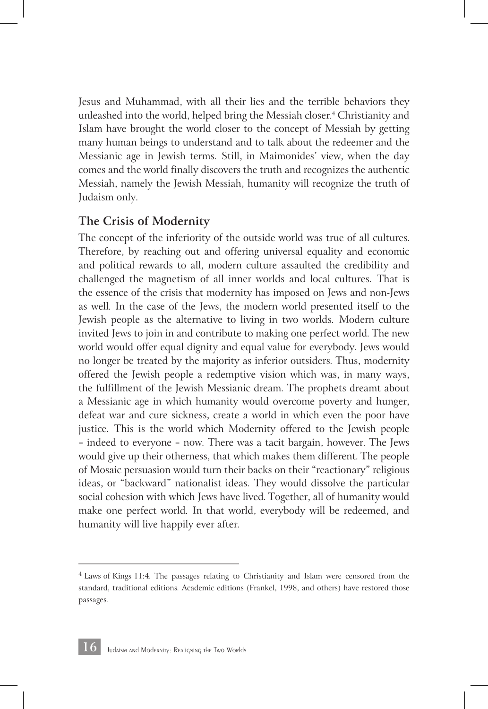Jesus and Muhammad, with all their lies and the terrible behaviors they unleashed into the world, helped bring the Messiah closer. 4 Christianity and Islam have brought the world closer to the concept of Messiah by getting many human beings to understand and to talk about the redeemer and the Messianic age in Jewish terms. Still, in Maimonides' view, when the day comes and the world finally discovers the truth and recognizes the authentic Messiah, namely the Jewish Messiah, humanity will recognize the truth of Judaism only.

#### **The Crisis of Modernity**

The concept of the inferiority of the outside world was true of all cultures. Therefore, by reaching out and offering universal equality and economic and political rewards to all, modern culture assaulted the credibility and challenged the magnetism of all inner worlds and local cultures. That is the essence of the crisis that modernity has imposed on Jews and non-Jews as well. In the case of the Jews, the modern world presented itself to the Jewish people as the alternative to living in two worlds. Modern culture invited Jews to join in and contribute to making one perfect world. The new world would offer equal dignity and equal value for everybody. Jews would no longer be treated by the majority as inferior outsiders. Thus, modernity offered the Jewish people a redemptive vision which was, in many ways, the fulfillment of the Jewish Messianic dream. The prophets dreamt about a Messianic age in which humanity would overcome poverty and hunger, defeat war and cure sickness, create a world in which even the poor have justice. This is the world which Modernity offered to the Jewish people — indeed to everyone — now. There was a tacit bargain, however. The Jews would give up their otherness, that which makes them different. The people of Mosaic persuasion would turn their backs on their "reactionary" religious ideas, or "backward" nationalist ideas. They would dissolve the particular social cohesion with which Jews have lived. Together, all of humanity would make one perfect world. In that world, everybody will be redeemed, and humanity will live happily ever after.

 $4$  Laws of Kings 11:4. The passages relating to Christianity and Islam were censored from the standard, traditional editions. Academic editions (Frankel, 1998, and others) have restored those passages.

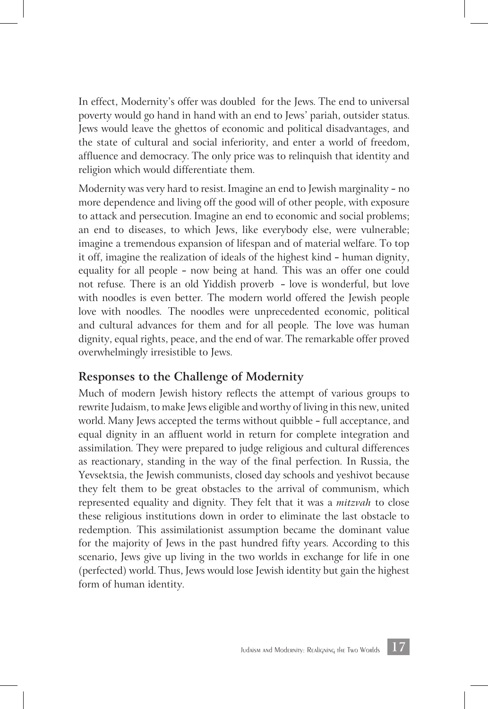In effect, Modernity's offer was doubled for the Jews. The end to universal poverty would go hand in hand with an end to Jews' pariah, outsider status. Jews would leave the ghettos of economic and political disadvantages, and the state of cultural and social inferiority, and enter a world of freedom, affluence and democracy. The only price was to relinquish that identity and religion which would differentiate them.

Modernity was very hard to resist. Imagine an end to Jewish marginality — no more dependence and living off the good will of other people, with exposure to attack and persecution. Imagine an end to economic and social problems; an end to diseases, to which Jews, like everybody else, were vulnerable; imagine a tremendous expansion of lifespan and of material welfare. To top it off, imagine the realization of ideals of the highest kind — human dignity, equality for all people — now being at hand. This was an offer one could not refuse. There is an old Yiddish proverb — love is wonderful, but love with noodles is even better. The modern world offered the Jewish people love with noodles. The noodles were unprecedented economic, political and cultural advances for them and for all people. The love was human dignity, equal rights, peace, and the end of war. The remarkable offer proved overwhelmingly irresistible to Jews.

#### **Responses to the Challenge of Modernity**

Much of modern Jewish history reflects the attempt of various groups to rewrite Judaism, to make Jews eligible and worthy of living in this new, united world. Many Jews accepted the terms without quibble — full acceptance, and equal dignity in an affluent world in return for complete integration and assimilation. They were prepared to judge religious and cultural differences as reactionary, standing in the way of the final perfection. In Russia, the Yevsektsia, the Jewish communists, closed day schools and yeshivot because they felt them to be great obstacles to the arrival of communism, which represented equality and dignity. They felt that it was a *mitzvah* to close these religious institutions down in order to eliminate the last obstacle to redemption. This assimilationist assumption became the dominant value for the majority of Jews in the past hundred fifty years. According to this scenario, Jews give up living in the two worlds in exchange for life in one (perfected) world. Thus, Jews would lose Jewish identity but gain the highest form of human identity.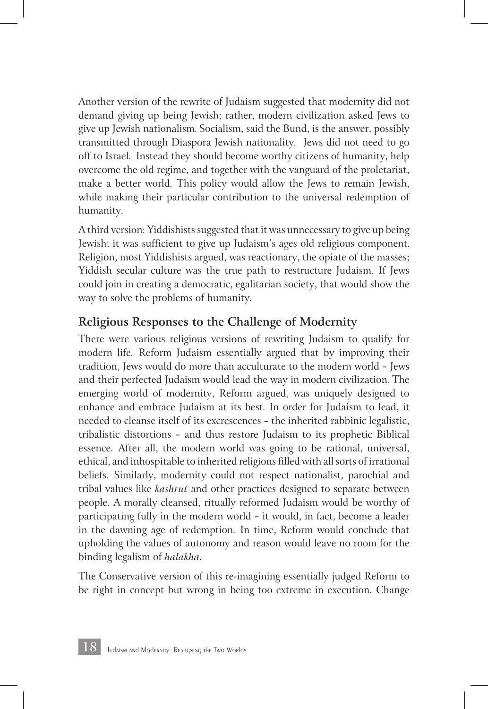Another version of the rewrite of Judaism suggested that modernity did not demand giving up being Jewish; rather, modern civilization asked Jews to give up Jewish nationalism. Socialism, said the Bund, is the answer, possibly transmitted through Diaspora Jewish nationality. Jews did not need to go off to Israel. Instead they should become worthy citizens of humanity, help overcome the old regime, and together with the vanguard of the proletariat, make a better world. This policy would allow the Jews to remain Jewish, while making their particular contribution to the universal redemption of humanity.

A third version: Yiddishists suggested that it was unnecessary to give up being Jewish; it was sufficient to give up Judaism's ages old religious component. Religion, most Yiddishists argued, was reactionary, the opiate of the masses; Yiddish secular culture was the true path to restructure Judaism. If Jews could join in creating a democratic, egalitarian society, that would show the way to solve the problems of humanity.

#### **Religious Responses to the Challenge of Modernity**

There were various religious versions of rewriting Judaism to qualify for modern life. Reform Judaism essentially argued that by improving their tradition, Jews would do more than acculturate to the modern world — Jews and their perfected Judaism would lead the way in modern civilization. The emerging world of modernity, Reform argued, was uniquely designed to enhance and embrace Judaism at its best. In order for Judaism to lead, it needed to cleanse itself of its excrescences — the inherited rabbinic legalistic, tribalistic distortions — and thus restore Judaism to its prophetic Biblical essence. After all, the modern world was going to be rational, universal, ethical, and inhospitable to inherited religions filled with all sorts of irrational beliefs. Similarly, modernity could not respect nationalist, parochial and tribal values like *kashrut* and other practices designed to separate between people. A morally cleansed, ritually reformed Judaism would be worthy of participating fully in the modern world — it would, in fact, become a leader in the dawning age of redemption. In time, Reform would conclude that upholding the values of autonomy and reason would leave no room for the binding legalism of *halakha*.

The Conservative version of this re-imagining essentially judged Reform to be right in concept but wrong in being too extreme in execution. Change

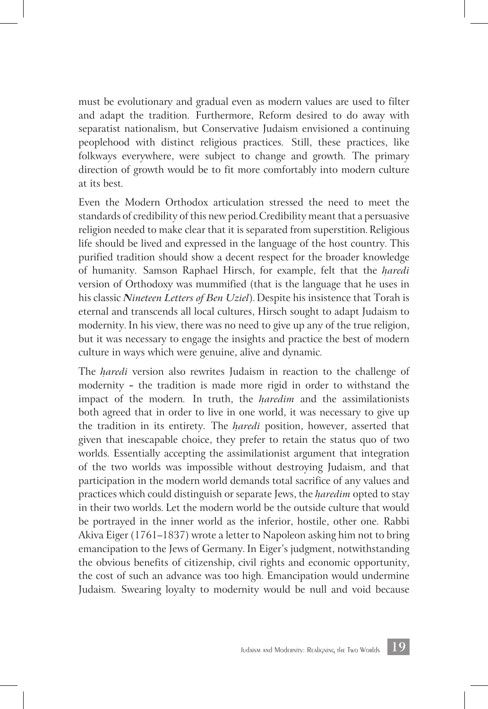must be evolutionary and gradual even as modern values are used to filter and adapt the tradition. Furthermore, Reform desired to do away with separatist nationalism, but Conservative Judaism envisioned a continuing peoplehood with distinct religious practices. Still, these practices, like folkways everywhere, were subject to change and growth. The primary direction of growth would be to fit more comfortably into modern culture at its best.

Even the Modern Orthodox articulation stressed the need to meet the standards of credibility of this new period. Credibility meant that a persuasive religion needed to make clear that it is separated from superstition. Religious life should be lived and expressed in the language of the host country. This purified tradition should show a decent respect for the broader knowledge of humanity. Samson Raphael Hirsch, for example, felt that the *h*ִ *aredi* version of Orthodoxy was mummified (that is the language that he uses in his classic *Nineteen Letters of Ben Uziel*). Despite his insistence that Torah is eternal and transcends all local cultures, Hirsch sought to adapt Judaism to modernity. In his view, there was no need to give up any of the true religion, but it was necessary to engage the insights and practice the best of modern culture in ways which were genuine, alive and dynamic.

The *haredi* version also rewrites Judaism in reaction to the challenge of modernity — the tradition is made more rigid in order to withstand the impact of the modern. In truth, the *haredim* and the assimilationists both agreed that in order to live in one world, it was necessary to give up the tradition in its entirety. The *haredi* position, however, asserted that given that inescapable choice, they prefer to retain the status quo of two worlds. Essentially accepting the assimilationist argument that integration of the two worlds was impossible without destroying Judaism, and that participation in the modern world demands total sacrifice of any values and practices which could distinguish or separate Jews, the *haredim* opted to stay in their two worlds. Let the modern world be the outside culture that would be portrayed in the inner world as the inferior, hostile, other one. Rabbi Akiva Eiger (1761–1837) wrote a letter to Napoleon asking him not to bring emancipation to the Jews of Germany. In Eiger's judgment, notwithstanding the obvious benefits of citizenship, civil rights and economic opportunity, the cost of such an advance was too high. Emancipation would undermine Judaism. Swearing loyalty to modernity would be null and void because

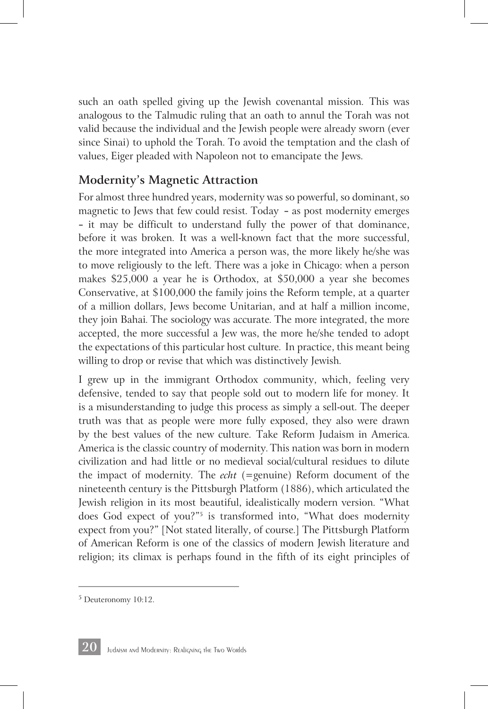such an oath spelled giving up the Jewish covenantal mission. This was analogous to the Talmudic ruling that an oath to annul the Torah was not valid because the individual and the Jewish people were already sworn (ever since Sinai) to uphold the Torah. To avoid the temptation and the clash of values, Eiger pleaded with Napoleon not to emancipate the Jews.

#### **Modernity's Magnetic Attraction**

For almost three hundred years, modernity was so powerful, so dominant, so magnetic to Jews that few could resist. Today — as post modernity emerges — it may be difficult to understand fully the power of that dominance, before it was broken. It was a well-known fact that the more successful, the more integrated into America a person was, the more likely he/she was to move religiously to the left. There was a joke in Chicago: when a person makes \$25,000 a year he is Orthodox, at \$50,000 a year she becomes Conservative, at \$100,000 the family joins the Reform temple, at a quarter of a million dollars, Jews become Unitarian, and at half a million income, they join Bahai. The sociology was accurate. The more integrated, the more accepted, the more successful a Jew was, the more he/she tended to adopt the expectations of this particular host culture. In practice, this meant being willing to drop or revise that which was distinctively Jewish.

I grew up in the immigrant Orthodox community, which, feeling very defensive, tended to say that people sold out to modern life for money. It is a misunderstanding to judge this process as simply a sell-out. The deeper truth was that as people were more fully exposed, they also were drawn by the best values of the new culture. Take Reform Judaism in America. America is the classic country of modernity. This nation was born in modern civilization and had little or no medieval social/cultural residues to dilute the impact of modernity. The *echt* (=genuine) Reform document of the nineteenth century is the Pittsburgh Platform (1886), which articulated the Jewish religion in its most beautiful, idealistically modern version. "What does God expect of you?"5 is transformed into, "What does modernity expect from you?" [Not stated literally, of course.] The Pittsburgh Platform of American Reform is one of the classics of modern Jewish literature and religion; its climax is perhaps found in the fifth of its eight principles of



<sup>5</sup> Deuteronomy 10:12.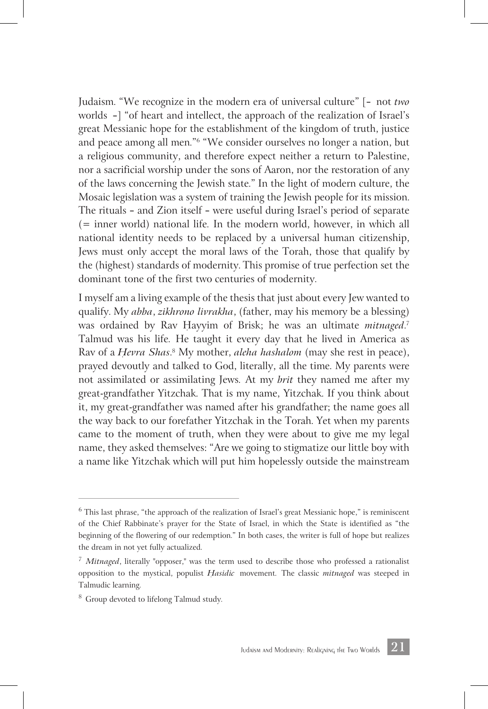Judaism. "We recognize in the modern era of universal culture" [— not *two* worlds —] "of heart and intellect, the approach of the realization of Israel's great Messianic hope for the establishment of the kingdom of truth, justice and peace among all men."6 "We consider ourselves no longer a nation, but a religious community, and therefore expect neither a return to Palestine, nor a sacrificial worship under the sons of Aaron, nor the restoration of any of the laws concerning the Jewish state." In the light of modern culture, the Mosaic legislation was a system of training the Jewish people for its mission. The rituals — and Zion itself — were useful during Israel's period of separate (= inner world) national life. In the modern world, however, in which all national identity needs to be replaced by a universal human citizenship, Jews must only accept the moral laws of the Torah, those that qualify by the (highest) standards of modernity. This promise of true perfection set the dominant tone of the first two centuries of modernity.

I myself am a living example of the thesis that just about every Jew wanted to qualify. My *abba*, *zikhrono livrakha*, (father, may his memory be a blessing) was ordained by Rav Hayyim of Brisk; he was an ultimate *mitnaged*.<sup>7</sup> Talmud was his life. He taught it every day that he lived in America as Rav of a *H*ִ *evra Shas*. 8 My mother, *aleha hashalom* (may she rest in peace), prayed devoutly and talked to God, literally, all the time. My parents were not assimilated or assimilating Jews. At my *brit* they named me after my great-grandfather Yitzchak. That is my name, Yitzchak. If you think about it, my great-grandfather was named after his grandfather; the name goes all the way back to our forefather Yitzchak in the Torah. Yet when my parents came to the moment of truth, when they were about to give me my legal name, they asked themselves: "Are we going to stigmatize our little boy with a name like Yitzchak which will put him hopelessly outside the mainstream



 $6$  This last phrase, "the approach of the realization of Israel's great Messianic hope," is reminiscent of the Chief Rabbinate's prayer for the State of Israel, in which the State is identified as "the beginning of the flowering of our redemption." In both cases, the writer is full of hope but realizes the dream in not yet fully actualized.

<sup>7</sup> *Mitnaged*, literally "opposer," was the term used to describe those who professed a rationalist opposition to the mystical, populist *H*ִ *asidic* movement. The classic *mitnaged* was steeped in Talmudic learning.

<sup>8</sup> Group devoted to lifelong Talmud study.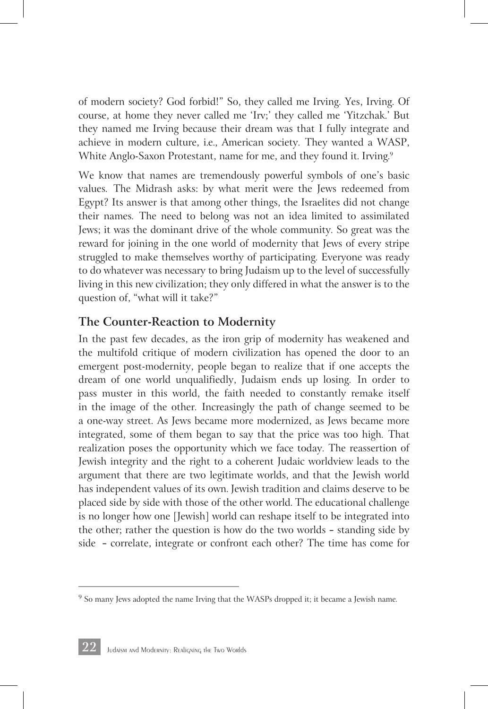of modern society? God forbid!" So, they called me Irving. Yes, Irving. Of course, at home they never called me 'Irv;' they called me 'Yitzchak.' But they named me Irving because their dream was that I fully integrate and achieve in modern culture, i.e., American society. They wanted a WASP, White Anglo-Saxon Protestant, name for me, and they found it. Irving. 9

We know that names are tremendously powerful symbols of one's basic values. The Midrash asks: by what merit were the Jews redeemed from Egypt? Its answer is that among other things, the Israelites did not change their names. The need to belong was not an idea limited to assimilated Jews; it was the dominant drive of the whole community. So great was the reward for joining in the one world of modernity that Jews of every stripe struggled to make themselves worthy of participating. Everyone was ready to do whatever was necessary to bring Judaism up to the level of successfully living in this new civilization; they only differed in what the answer is to the question of, "what will it take?"

#### **The Counter-Reaction to Modernity**

In the past few decades, as the iron grip of modernity has weakened and the multifold critique of modern civilization has opened the door to an emergent post-modernity, people began to realize that if one accepts the dream of one world unqualifiedly, Judaism ends up losing. In order to pass muster in this world, the faith needed to constantly remake itself in the image of the other. Increasingly the path of change seemed to be a one-way street. As Jews became more modernized, as Jews became more integrated, some of them began to say that the price was too high. That realization poses the opportunity which we face today. The reassertion of Jewish integrity and the right to a coherent Judaic worldview leads to the argument that there are two legitimate worlds, and that the Jewish world has independent values of its own. Jewish tradition and claims deserve to be placed side by side with those of the other world. The educational challenge is no longer how one [Jewish] world can reshape itself to be integrated into the other; rather the question is how do the two worlds — standing side by side — correlate, integrate or confront each other? The time has come for



 $9$  So many Jews adopted the name Irving that the WASPs dropped it; it became a Jewish name.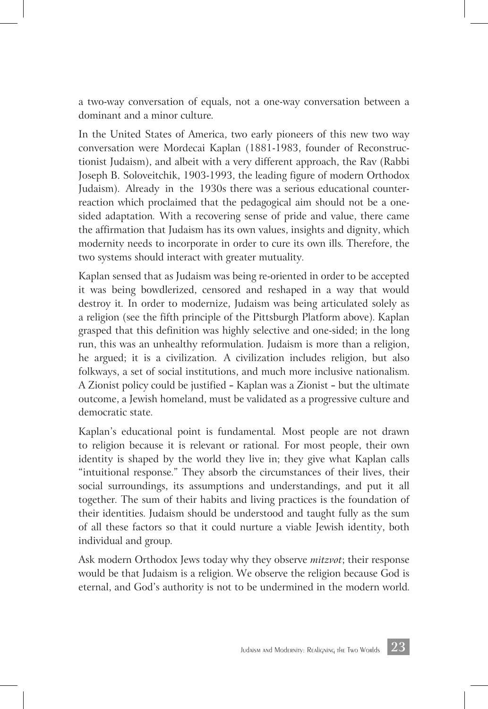a two-way conversation of equals, not a one-way conversation between a dominant and a minor culture.

In the United States of America, two early pioneers of this new two way conversation were Mordecai Kaplan (1881-1983, founder of Reconstructionist Judaism), and albeit with a very different approach, the Rav (Rabbi Joseph B. Soloveitchik, 1903-1993, the leading figure of modern Orthodox Judaism). Already in the 1930s there was a serious educational counterreaction which proclaimed that the pedagogical aim should not be a onesided adaptation. With a recovering sense of pride and value, there came the affirmation that Judaism has its own values, insights and dignity, which modernity needs to incorporate in order to cure its own ills. Therefore, the two systems should interact with greater mutuality.

Kaplan sensed that as Judaism was being re-oriented in order to be accepted it was being bowdlerized, censored and reshaped in a way that would destroy it. In order to modernize, Judaism was being articulated solely as a religion (see the fifth principle of the Pittsburgh Platform above). Kaplan grasped that this definition was highly selective and one-sided; in the long run, this was an unhealthy reformulation. Judaism is more than a religion, he argued; it is a civilization. A civilization includes religion, but also folkways, a set of social institutions, and much more inclusive nationalism. A Zionist policy could be justified — Kaplan was a Zionist — but the ultimate outcome, a Jewish homeland, must be validated as a progressive culture and democratic state.

Kaplan's educational point is fundamental. Most people are not drawn to religion because it is relevant or rational. For most people, their own identity is shaped by the world they live in; they give what Kaplan calls "intuitional response." They absorb the circumstances of their lives, their social surroundings, its assumptions and understandings, and put it all together. The sum of their habits and living practices is the foundation of their identities. Judaism should be understood and taught fully as the sum of all these factors so that it could nurture a viable Jewish identity, both individual and group.

Ask modern Orthodox Jews today why they observe *mitzvot*; their response would be that Judaism is a religion. We observe the religion because God is eternal, and God's authority is not to be undermined in the modern world.

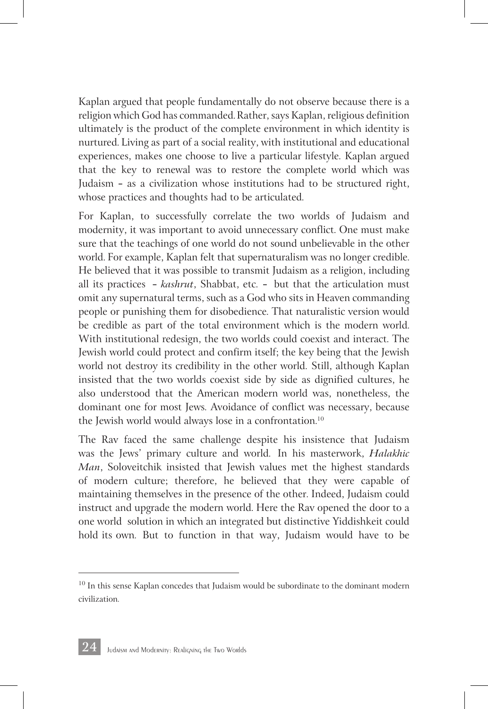Kaplan argued that people fundamentally do not observe because there is a religion which God has commanded. Rather, says Kaplan, religious definition ultimately is the product of the complete environment in which identity is nurtured. Living as part of a social reality, with institutional and educational experiences, makes one choose to live a particular lifestyle. Kaplan argued that the key to renewal was to restore the complete world which was Judaism — as a civilization whose institutions had to be structured right, whose practices and thoughts had to be articulated.

For Kaplan, to successfully correlate the two worlds of Judaism and modernity, it was important to avoid unnecessary conflict. One must make sure that the teachings of one world do not sound unbelievable in the other world. For example, Kaplan felt that supernaturalism was no longer credible. He believed that it was possible to transmit Judaism as a religion, including all its practices — *kashrut*, Shabbat, etc. — but that the articulation must omit any supernatural terms, such as a God who sits in Heaven commanding people or punishing them for disobedience. That naturalistic version would be credible as part of the total environment which is the modern world. With institutional redesign, the two worlds could coexist and interact. The Jewish world could protect and confirm itself; the key being that the Jewish world not destroy its credibility in the other world. Still, although Kaplan insisted that the two worlds coexist side by side as dignified cultures, he also understood that the American modern world was, nonetheless, the dominant one for most Jews. Avoidance of conflict was necessary, because the Jewish world would always lose in a confrontation. 10

The Rav faced the same challenge despite his insistence that Judaism was the Jews' primary culture and world. In his masterwork, *Halakhic Man*, Soloveitchik insisted that Jewish values met the highest standards of modern culture; therefore, he believed that they were capable of maintaining themselves in the presence of the other. Indeed, Judaism could instruct and upgrade the modern world. Here the Rav opened the door to a one world solution in which an integrated but distinctive Yiddishkeit could hold its own. But to function in that way, Judaism would have to be



 $10$  In this sense Kaplan concedes that Judaism would be subordinate to the dominant modern civilization.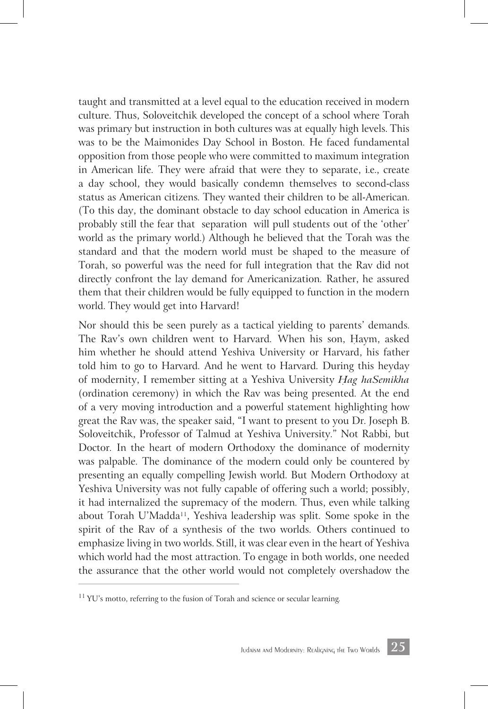taught and transmitted at a level equal to the education received in modern culture. Thus, Soloveitchik developed the concept of a school where Torah was primary but instruction in both cultures was at equally high levels. This was to be the Maimonides Day School in Boston. He faced fundamental opposition from those people who were committed to maximum integration in American life. They were afraid that were they to separate, i.e., create a day school, they would basically condemn themselves to second-class status as American citizens. They wanted their children to be all-American. (To this day, the dominant obstacle to day school education in America is probably still the fear that separation will pull students out of the 'other' world as the primary world.) Although he believed that the Torah was the standard and that the modern world must be shaped to the measure of Torah, so powerful was the need for full integration that the Rav did not directly confront the lay demand for Americanization. Rather, he assured them that their children would be fully equipped to function in the modern world. They would get into Harvard!

Nor should this be seen purely as a tactical yielding to parents' demands. The Rav's own children went to Harvard. When his son, Haym, asked him whether he should attend Yeshiva University or Harvard, his father told him to go to Harvard. And he went to Harvard. During this heyday of modernity, I remember sitting at a Yeshiva University *H*ִ *ag haSemikha* (ordination ceremony) in which the Rav was being presented. At the end of a very moving introduction and a powerful statement highlighting how great the Rav was, the speaker said, "I want to present to you Dr. Joseph B. Soloveitchik, Professor of Talmud at Yeshiva University." Not Rabbi, but Doctor. In the heart of modern Orthodoxy the dominance of modernity was palpable. The dominance of the modern could only be countered by presenting an equally compelling Jewish world. But Modern Orthodoxy at Yeshiva University was not fully capable of offering such a world; possibly, it had internalized the supremacy of the modern. Thus, even while talking about Torah U'Madda<sup>11</sup>, Yeshiva leadership was split. Some spoke in the spirit of the Rav of a synthesis of the two worlds. Others continued to emphasize living in two worlds. Still, it was clear even in the heart of Yeshiva which world had the most attraction. To engage in both worlds, one needed the assurance that the other world would not completely overshadow the



 $11$  YU's motto, referring to the fusion of Torah and science or secular learning.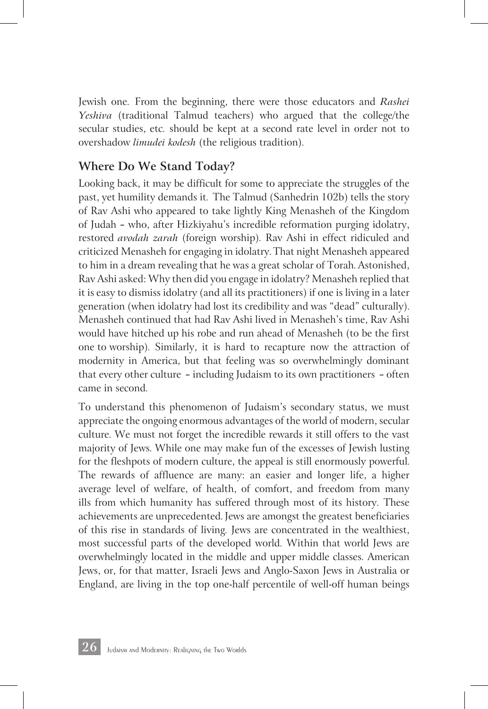Jewish one. From the beginning, there were those educators and *Rashei Yeshiva* (traditional Talmud teachers) who argued that the college/the secular studies, etc. should be kept at a second rate level in order not to overshadow *limudei kodesh* (the religious tradition).

#### **Where Do We Stand Today?**

Looking back, it may be difficult for some to appreciate the struggles of the past, yet humility demands it. The Talmud (Sanhedrin 102b) tells the story of Rav Ashi who appeared to take lightly King Menasheh of the Kingdom of Judah - who, after Hizkiyahu's incredible reformation purging idolatry, restored *avodah zarah* (foreign worship). Rav Ashi in effect ridiculed and criticized Menasheh for engaging in idolatry. That night Menasheh appeared to him in a dream revealing that he was a great scholar of Torah. Astonished, Rav Ashi asked: Why then did you engage in idolatry? Menasheh replied that it is easy to dismiss idolatry (and all its practitioners) if one is living in a later generation (when idolatry had lost its credibility and was "dead" culturally). Menasheh continued that had Rav Ashi lived in Menasheh's time, Rav Ashi would have hitched up his robe and run ahead of Menasheh (to be the first one to worship). Similarly, it is hard to recapture now the attraction of modernity in America, but that feeling was so overwhelmingly dominant that every other culture — including Judaism to its own practitioners — often came in second.

To understand this phenomenon of Judaism's secondary status, we must appreciate the ongoing enormous advantages of the world of modern, secular culture. We must not forget the incredible rewards it still offers to the vast majority of Jews. While one may make fun of the excesses of Jewish lusting for the fleshpots of modern culture, the appeal is still enormously powerful. The rewards of affluence are many: an easier and longer life, a higher average level of welfare, of health, of comfort, and freedom from many ills from which humanity has suffered through most of its history. These achievements are unprecedented. Jews are amongst the greatest beneficiaries of this rise in standards of living. Jews are concentrated in the wealthiest, most successful parts of the developed world. Within that world Jews are overwhelmingly located in the middle and upper middle classes. American Jews, or, for that matter, Israeli Jews and Anglo-Saxon Jews in Australia or England, are living in the top one-half percentile of well-off human beings

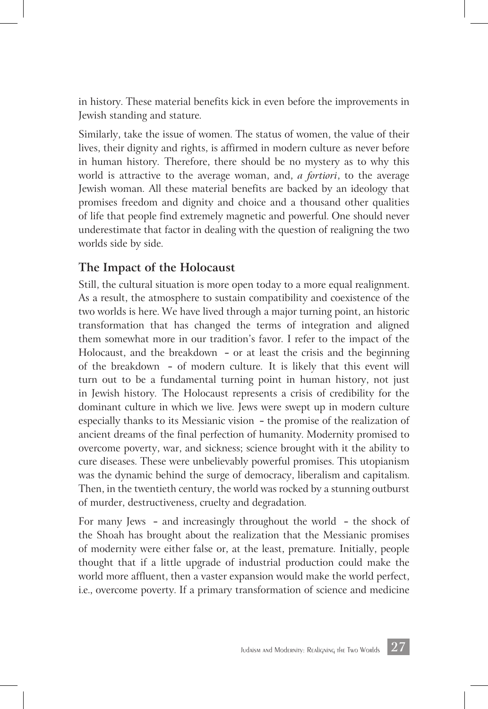in history. These material benefits kick in even before the improvements in Jewish standing and stature.

Similarly, take the issue of women. The status of women, the value of their lives, their dignity and rights, is affirmed in modern culture as never before in human history. Therefore, there should be no mystery as to why this world is attractive to the average woman, and, *a fortiori*, to the average Jewish woman. All these material benefits are backed by an ideology that promises freedom and dignity and choice and a thousand other qualities of life that people find extremely magnetic and powerful. One should never underestimate that factor in dealing with the question of realigning the two worlds side by side.

#### **The Impact of the Holocaust**

Still, the cultural situation is more open today to a more equal realignment. As a result, the atmosphere to sustain compatibility and coexistence of the two worlds is here. We have lived through a major turning point, an historic transformation that has changed the terms of integration and aligned them somewhat more in our tradition's favor. I refer to the impact of the Holocaust, and the breakdown — or at least the crisis and the beginning of the breakdown — of modern culture. It is likely that this event will turn out to be a fundamental turning point in human history, not just in Jewish history. The Holocaust represents a crisis of credibility for the dominant culture in which we live. Jews were swept up in modern culture especially thanks to its Messianic vision — the promise of the realization of ancient dreams of the final perfection of humanity. Modernity promised to overcome poverty, war, and sickness; science brought with it the ability to cure diseases. These were unbelievably powerful promises. This utopianism was the dynamic behind the surge of democracy, liberalism and capitalism. Then, in the twentieth century, the world was rocked by a stunning outburst of murder, destructiveness, cruelty and degradation.

For many Jews — and increasingly throughout the world — the shock of the Shoah has brought about the realization that the Messianic promises of modernity were either false or, at the least, premature. Initially, people thought that if a little upgrade of industrial production could make the world more affluent, then a vaster expansion would make the world perfect, i.e., overcome poverty. If a primary transformation of science and medicine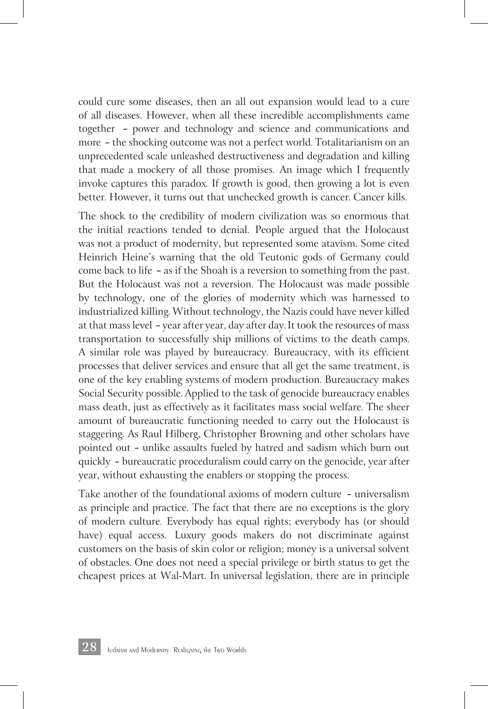could cure some diseases, then an all out expansion would lead to a cure of all diseases. However, when all these incredible accomplishments came together — power and technology and science and communications and more — the shocking outcome was not a perfect world. Totalitarianism on an unprecedented scale unleashed destructiveness and degradation and killing that made a mockery of all those promises. An image which I frequently invoke captures this paradox. If growth is good, then growing a lot is even better. However, it turns out that unchecked growth is cancer. Cancer kills.

The shock to the credibility of modern civilization was so enormous that the initial reactions tended to denial. People argued that the Holocaust was not a product of modernity, but represented some atavism. Some cited Heinrich Heine's warning that the old Teutonic gods of Germany could come back to life — as if the Shoah is a reversion to something from the past. But the Holocaust was not a reversion. The Holocaust was made possible by technology, one of the glories of modernity which was harnessed to industrialized killing. Without technology, the Nazis could have never killed at that mass level — year after year, day after day. It took the resources of mass transportation to successfully ship millions of victims to the death camps. A similar role was played by bureaucracy. Bureaucracy, with its efficient processes that deliver services and ensure that all get the same treatment, is one of the key enabling systems of modern production. Bureaucracy makes Social Security possible. Applied to the task of genocide bureaucracy enables mass death, just as effectively as it facilitates mass social welfare. The sheer amount of bureaucratic functioning needed to carry out the Holocaust is staggering. As Raul Hilberg, Christopher Browning and other scholars have pointed out — unlike assaults fueled by hatred and sadism which burn out quickly — bureaucratic proceduralism could carry on the genocide, year after year, without exhausting the enablers or stopping the process.

Take another of the foundational axioms of modern culture — universalism as principle and practice. The fact that there are no exceptions is the glory of modern culture. Everybody has equal rights; everybody has (or should have) equal access. Luxury goods makers do not discriminate against customers on the basis of skin color or religion; money is a universal solvent of obstacles. One does not need a special privilege or birth status to get the cheapest prices at Wal-Mart. In universal legislation, there are in principle

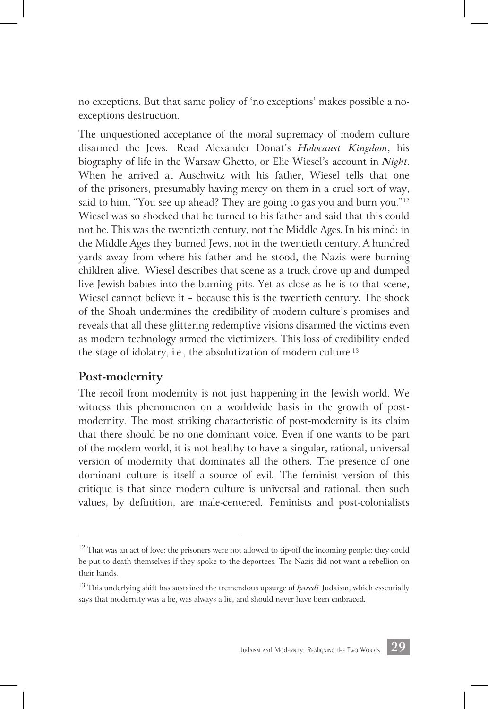no exceptions. But that same policy of 'no exceptions' makes possible a noexceptions destruction.

The unquestioned acceptance of the moral supremacy of modern culture disarmed the Jews. Read Alexander Donat's *Holocaust Kingdom*, his biography of life in the Warsaw Ghetto, or Elie Wiesel's account in *Night*. When he arrived at Auschwitz with his father, Wiesel tells that one of the prisoners, presumably having mercy on them in a cruel sort of way, said to him, "You see up ahead? They are going to gas you and burn you."<sup>12</sup> Wiesel was so shocked that he turned to his father and said that this could not be. This was the twentieth century, not the Middle Ages. In his mind: in the Middle Ages they burned Jews, not in the twentieth century. A hundred yards away from where his father and he stood, the Nazis were burning children alive. Wiesel describes that scene as a truck drove up and dumped live Jewish babies into the burning pits. Yet as close as he is to that scene, Wiesel cannot believe it — because this is the twentieth century. The shock of the Shoah undermines the credibility of modern culture's promises and reveals that all these glittering redemptive visions disarmed the victims even as modern technology armed the victimizers. This loss of credibility ended the stage of idolatry, i.e., the absolutization of modern culture. 13

#### **Post-modernity**

The recoil from modernity is not just happening in the Jewish world. We witness this phenomenon on a worldwide basis in the growth of postmodernity. The most striking characteristic of post-modernity is its claim that there should be no one dominant voice. Even if one wants to be part of the modern world, it is not healthy to have a singular, rational, universal version of modernity that dominates all the others. The presence of one dominant culture is itself a source of evil. The feminist version of this critique is that since modern culture is universal and rational, then such values, by definition, are male-centered. Feminists and post-colonialists



 $12$  That was an act of love; the prisoners were not allowed to tip-off the incoming people; they could be put to death themselves if they spoke to the deportees. The Nazis did not want a rebellion on their hands.

<sup>&</sup>lt;sup>13</sup> This underlying shift has sustained the tremendous upsurge of *haredi* Judaism, which essentially says that modernity was a lie, was always a lie, and should never have been embraced.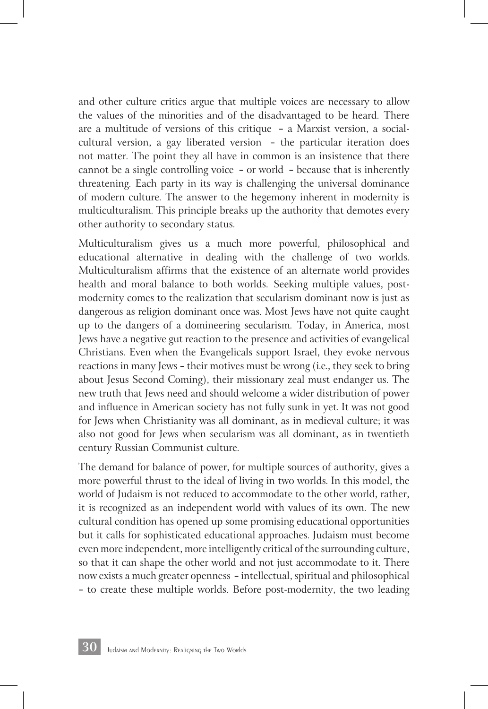and other culture critics argue that multiple voices are necessary to allow the values of the minorities and of the disadvantaged to be heard. There are a multitude of versions of this critique — a Marxist version, a socialcultural version, a gay liberated version — the particular iteration does not matter. The point they all have in common is an insistence that there cannot be a single controlling voice — or world — because that is inherently threatening. Each party in its way is challenging the universal dominance of modern culture. The answer to the hegemony inherent in modernity is multiculturalism. This principle breaks up the authority that demotes every other authority to secondary status.

Multiculturalism gives us a much more powerful, philosophical and educational alternative in dealing with the challenge of two worlds. Multiculturalism affirms that the existence of an alternate world provides health and moral balance to both worlds. Seeking multiple values, postmodernity comes to the realization that secularism dominant now is just as dangerous as religion dominant once was. Most Jews have not quite caught up to the dangers of a domineering secularism. Today, in America, most Jews have a negative gut reaction to the presence and activities of evangelical Christians. Even when the Evangelicals support Israel, they evoke nervous reactions in many Jews — their motives must be wrong (i.e., they seek to bring about Jesus Second Coming), their missionary zeal must endanger us. The new truth that Jews need and should welcome a wider distribution of power and influence in American society has not fully sunk in yet. It was not good for Jews when Christianity was all dominant, as in medieval culture; it was also not good for Jews when secularism was all dominant, as in twentieth century Russian Communist culture.

The demand for balance of power, for multiple sources of authority, gives a more powerful thrust to the ideal of living in two worlds. In this model, the world of Judaism is not reduced to accommodate to the other world, rather, it is recognized as an independent world with values of its own. The new cultural condition has opened up some promising educational opportunities but it calls for sophisticated educational approaches. Judaism must become even more independent, more intelligently critical of the surrounding culture, so that it can shape the other world and not just accommodate to it. There now exists a much greater openness — intellectual, spiritual and philosophical — to create these multiple worlds. Before post-modernity, the two leading

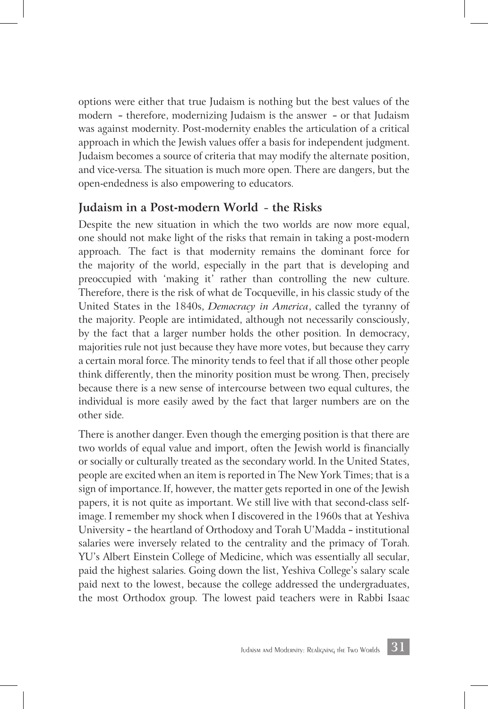options were either that true Judaism is nothing but the best values of the modern — therefore, modernizing Judaism is the answer — or that Judaism was against modernity. Post-modernity enables the articulation of a critical approach in which the Jewish values offer a basis for independent judgment. Judaism becomes a source of criteria that may modify the alternate position, and vice-versa. The situation is much more open. There are dangers, but the open-endedness is also empowering to educators.

#### **Judaism in a Post-modern World** — **the Risks**

Despite the new situation in which the two worlds are now more equal, one should not make light of the risks that remain in taking a post-modern approach. The fact is that modernity remains the dominant force for the majority of the world, especially in the part that is developing and preoccupied with 'making it' rather than controlling the new culture. Therefore, there is the risk of what de Tocqueville, in his classic study of the United States in the 1840s, *Democracy in America*, called the tyranny of the majority. People are intimidated, although not necessarily consciously, by the fact that a larger number holds the other position. In democracy, majorities rule not just because they have more votes, but because they carry a certain moral force. The minority tends to feel that if all those other people think differently, then the minority position must be wrong. Then, precisely because there is a new sense of intercourse between two equal cultures, the individual is more easily awed by the fact that larger numbers are on the other side.

There is another danger. Even though the emerging position is that there are two worlds of equal value and import, often the Jewish world is financially or socially or culturally treated as the secondary world. In the United States, people are excited when an item is reported in The New York Times; that is a sign of importance. If, however, the matter gets reported in one of the Jewish papers, it is not quite as important. We still live with that second-class selfimage. I remember my shock when I discovered in the 1960s that at Yeshiva University — the heartland of Orthodoxy and Torah U'Madda — institutional salaries were inversely related to the centrality and the primacy of Torah. YU's Albert Einstein College of Medicine, which was essentially all secular, paid the highest salaries. Going down the list, Yeshiva College's salary scale paid next to the lowest, because the college addressed the undergraduates, the most Orthodox group. The lowest paid teachers were in Rabbi Isaac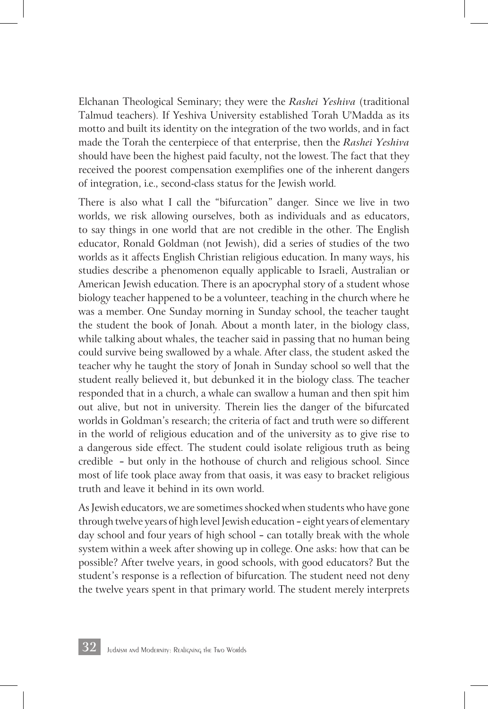Elchanan Theological Seminary; they were the *Rashei Yeshiva* (traditional Talmud teachers). If Yeshiva University established Torah U'Madda as its motto and built its identity on the integration of the two worlds, and in fact made the Torah the centerpiece of that enterprise, then the *Rashei Yeshiva* should have been the highest paid faculty, not the lowest. The fact that they received the poorest compensation exemplifies one of the inherent dangers of integration, i.e., second-class status for the Jewish world.

There is also what I call the "bifurcation" danger. Since we live in two worlds, we risk allowing ourselves, both as individuals and as educators, to say things in one world that are not credible in the other. The English educator, Ronald Goldman (not Jewish), did a series of studies of the two worlds as it affects English Christian religious education. In many ways, his studies describe a phenomenon equally applicable to Israeli, Australian or American Jewish education. There is an apocryphal story of a student whose biology teacher happened to be a volunteer, teaching in the church where he was a member. One Sunday morning in Sunday school, the teacher taught the student the book of Jonah. About a month later, in the biology class, while talking about whales, the teacher said in passing that no human being could survive being swallowed by a whale. After class, the student asked the teacher why he taught the story of Jonah in Sunday school so well that the student really believed it, but debunked it in the biology class. The teacher responded that in a church, a whale can swallow a human and then spit him out alive, but not in university. Therein lies the danger of the bifurcated worlds in Goldman's research; the criteria of fact and truth were so different in the world of religious education and of the university as to give rise to a dangerous side effect. The student could isolate religious truth as being credible — but only in the hothouse of church and religious school. Since most of life took place away from that oasis, it was easy to bracket religious truth and leave it behind in its own world.

As Jewish educators, we are sometimes shocked when students who have gone through twelve years of high level Jewish education — eight years of elementary day school and four years of high school — can totally break with the whole system within a week after showing up in college. One asks: how that can be possible? After twelve years, in good schools, with good educators? But the student's response is a reflection of bifurcation. The student need not deny the twelve years spent in that primary world. The student merely interprets

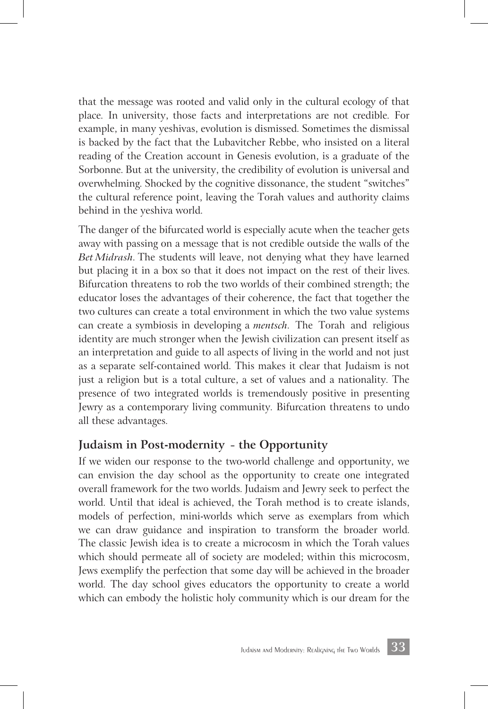that the message was rooted and valid only in the cultural ecology of that place. In university, those facts and interpretations are not credible. For example, in many yeshivas, evolution is dismissed. Sometimes the dismissal is backed by the fact that the Lubavitcher Rebbe, who insisted on a literal reading of the Creation account in Genesis evolution, is a graduate of the Sorbonne. But at the university, the credibility of evolution is universal and overwhelming. Shocked by the cognitive dissonance, the student "switches" the cultural reference point, leaving the Torah values and authority claims behind in the yeshiva world.

The danger of the bifurcated world is especially acute when the teacher gets away with passing on a message that is not credible outside the walls of the *Bet Midrash*. The students will leave, not denying what they have learned but placing it in a box so that it does not impact on the rest of their lives. Bifurcation threatens to rob the two worlds of their combined strength; the educator loses the advantages of their coherence, the fact that together the two cultures can create a total environment in which the two value systems can create a symbiosis in developing a *mentsch*. The Torah and religious identity are much stronger when the Jewish civilization can present itself as an interpretation and guide to all aspects of living in the world and not just as a separate self-contained world. This makes it clear that Judaism is not just a religion but is a total culture, a set of values and a nationality. The presence of two integrated worlds is tremendously positive in presenting Jewry as a contemporary living community. Bifurcation threatens to undo all these advantages.

#### **Judaism in Post-modernity** — **the Opportunity**

If we widen our response to the two-world challenge and opportunity, we can envision the day school as the opportunity to create one integrated overall framework for the two worlds. Judaism and Jewry seek to perfect the world. Until that ideal is achieved, the Torah method is to create islands, models of perfection, mini-worlds which serve as exemplars from which we can draw guidance and inspiration to transform the broader world. The classic Jewish idea is to create a microcosm in which the Torah values which should permeate all of society are modeled; within this microcosm, Jews exemplify the perfection that some day will be achieved in the broader world. The day school gives educators the opportunity to create a world which can embody the holistic holy community which is our dream for the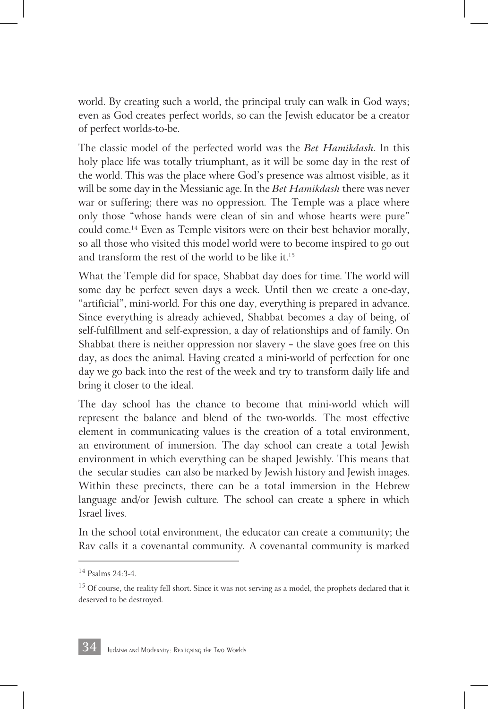world. By creating such a world, the principal truly can walk in God ways; even as God creates perfect worlds, so can the Jewish educator be a creator of perfect worlds-to-be.

The classic model of the perfected world was the *Bet Hamikdash*. In this holy place life was totally triumphant, as it will be some day in the rest of the world. This was the place where God's presence was almost visible, as it will be some day in the Messianic age. In the *Bet Hamikdash* there was never war or suffering; there was no oppression. The Temple was a place where only those "whose hands were clean of sin and whose hearts were pure" could come. 14 Even as Temple visitors were on their best behavior morally, so all those who visited this model world were to become inspired to go out and transform the rest of the world to be like it. 15

What the Temple did for space, Shabbat day does for time. The world will some day be perfect seven days a week. Until then we create a one-day, "artificial", mini-world. For this one day, everything is prepared in advance. Since everything is already achieved, Shabbat becomes a day of being, of self-fulfillment and self-expression, a day of relationships and of family. On Shabbat there is neither oppression nor slavery — the slave goes free on this day, as does the animal. Having created a mini-world of perfection for one day we go back into the rest of the week and try to transform daily life and bring it closer to the ideal.

The day school has the chance to become that mini-world which will represent the balance and blend of the two-worlds. The most effective element in communicating values is the creation of a total environment, an environment of immersion. The day school can create a total Jewish environment in which everything can be shaped Jewishly. This means that the secular studies can also be marked by Jewish history and Jewish images. Within these precincts, there can be a total immersion in the Hebrew language and/or Jewish culture. The school can create a sphere in which Israel lives.

In the school total environment, the educator can create a community; the Rav calls it a covenantal community. A covenantal community is marked

<sup>14</sup> Psalms 24:3-4.

<sup>&</sup>lt;sup>15</sup> Of course, the reality fell short. Since it was not serving as a model, the prophets declared that it deserved to be destroyed.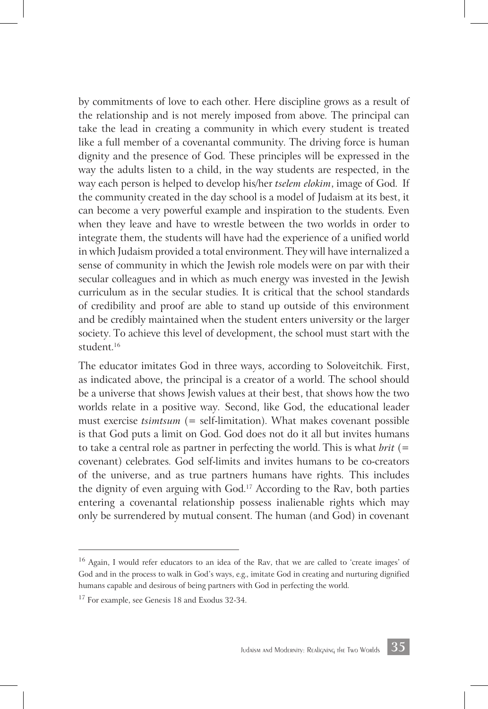by commitments of love to each other. Here discipline grows as a result of the relationship and is not merely imposed from above. The principal can take the lead in creating a community in which every student is treated like a full member of a covenantal community. The driving force is human dignity and the presence of God. These principles will be expressed in the way the adults listen to a child, in the way students are respected, in the way each person is helped to develop his/her *tselem elokim*, image of God. If the community created in the day school is a model of Judaism at its best, it can become a very powerful example and inspiration to the students. Even when they leave and have to wrestle between the two worlds in order to integrate them, the students will have had the experience of a unified world in which Judaism provided a total environment. They will have internalized a sense of community in which the Jewish role models were on par with their secular colleagues and in which as much energy was invested in the Jewish curriculum as in the secular studies. It is critical that the school standards of credibility and proof are able to stand up outside of this environment and be credibly maintained when the student enters university or the larger society. To achieve this level of development, the school must start with the student. 16

The educator imitates God in three ways, according to Soloveitchik. First, as indicated above, the principal is a creator of a world. The school should be a universe that shows Jewish values at their best, that shows how the two worlds relate in a positive way. Second, like God, the educational leader must exercise *tsimtsum* (= self-limitation). What makes covenant possible is that God puts a limit on God. God does not do it all but invites humans to take a central role as partner in perfecting the world. This is what *brit* (= covenant) celebrates. God self-limits and invites humans to be co-creators of the universe, and as true partners humans have rights. This includes the dignity of even arguing with God. 17 According to the Rav, both parties entering a covenantal relationship possess inalienable rights which may only be surrendered by mutual consent. The human (and God) in covenant



<sup>&</sup>lt;sup>16</sup> Again, I would refer educators to an idea of the Rav, that we are called to 'create images' of God and in the process to walk in God's ways, e.g., imitate God in creating and nurturing dignified humans capable and desirous of being partners with God in perfecting the world.

<sup>&</sup>lt;sup>17</sup> For example, see Genesis 18 and Exodus 32-34.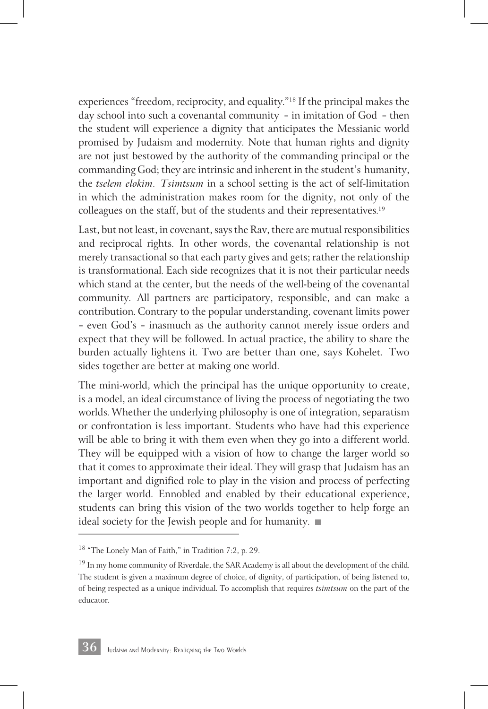experiences "freedom, reciprocity, and equality."18 If the principal makes the day school into such a covenantal community — in imitation of God — then the student will experience a dignity that anticipates the Messianic world promised by Judaism and modernity. Note that human rights and dignity are not just bestowed by the authority of the commanding principal or the commanding God; they are intrinsic and inherent in the student's humanity, the *tselem elokim*. *Tsimtsum* in a school setting is the act of self-limitation in which the administration makes room for the dignity, not only of the colleagues on the staff, but of the students and their representatives. 19

Last, but not least, in covenant, says the Rav, there are mutual responsibilities and reciprocal rights. In other words, the covenantal relationship is not merely transactional so that each party gives and gets; rather the relationship is transformational. Each side recognizes that it is not their particular needs which stand at the center, but the needs of the well-being of the covenantal community. All partners are participatory, responsible, and can make a contribution. Contrary to the popular understanding, covenant limits power — even God's — inasmuch as the authority cannot merely issue orders and expect that they will be followed. In actual practice, the ability to share the burden actually lightens it. Two are better than one, says Kohelet. Two sides together are better at making one world.

The mini-world, which the principal has the unique opportunity to create, is a model, an ideal circumstance of living the process of negotiating the two worlds. Whether the underlying philosophy is one of integration, separatism or confrontation is less important. Students who have had this experience will be able to bring it with them even when they go into a different world. They will be equipped with a vision of how to change the larger world so that it comes to approximate their ideal. They will grasp that Judaism has an important and dignified role to play in the vision and process of perfecting the larger world. Ennobled and enabled by their educational experience, students can bring this vision of the two worlds together to help forge an ideal society for the Jewish people and for humanity.



<sup>18 &</sup>quot;The Lonely Man of Faith," in Tradition 7:2, p. 29.

<sup>&</sup>lt;sup>19</sup> In my home community of Riverdale, the SAR Academy is all about the development of the child. The student is given a maximum degree of choice, of dignity, of participation, of being listened to, of being respected as a unique individual. To accomplish that requires *tsimtsum* on the part of the educator.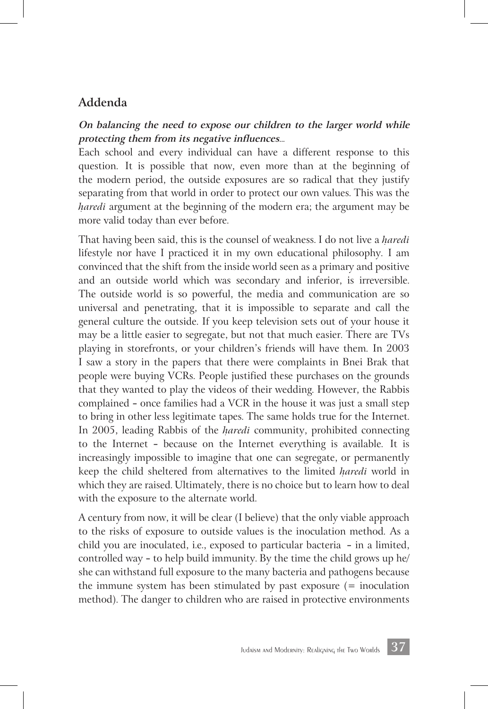#### **Addenda**

#### **On balancing the need to expose our children to the larger world while protecting them from its negative influences**...

Each school and every individual can have a different response to this question. It is possible that now, even more than at the beginning of the modern period, the outside exposures are so radical that they justify separating from that world in order to protect our own values. This was the *h*ִ *aredi* argument at the beginning of the modern era; the argument may be more valid today than ever before.

That having been said, this is the counsel of weakness. I do not live a *h*ִ *aredi*  lifestyle nor have I practiced it in my own educational philosophy. I am convinced that the shift from the inside world seen as a primary and positive and an outside world which was secondary and inferior, is irreversible. The outside world is so powerful, the media and communication are so universal and penetrating, that it is impossible to separate and call the general culture the outside. If you keep television sets out of your house it may be a little easier to segregate, but not that much easier. There are TVs playing in storefronts, or your children's friends will have them. In 2003 I saw a story in the papers that there were complaints in Bnei Brak that people were buying VCRs. People justified these purchases on the grounds that they wanted to play the videos of their wedding. However, the Rabbis complained — once families had a VCR in the house it was just a small step to bring in other less legitimate tapes. The same holds true for the Internet. In 2005, leading Rabbis of the *haredi* community, prohibited connecting to the Internet — because on the Internet everything is available. It is increasingly impossible to imagine that one can segregate, or permanently keep the child sheltered from alternatives to the limited *h*ִ *aredi* world in which they are raised. Ultimately, there is no choice but to learn how to deal with the exposure to the alternate world.

A century from now, it will be clear (I believe) that the only viable approach to the risks of exposure to outside values is the inoculation method. As a child you are inoculated, i.e., exposed to particular bacteria — in a limited, controlled way — to help build immunity. By the time the child grows up he/ she can withstand full exposure to the many bacteria and pathogens because the immune system has been stimulated by past exposure  $(=$  inoculation method). The danger to children who are raised in protective environments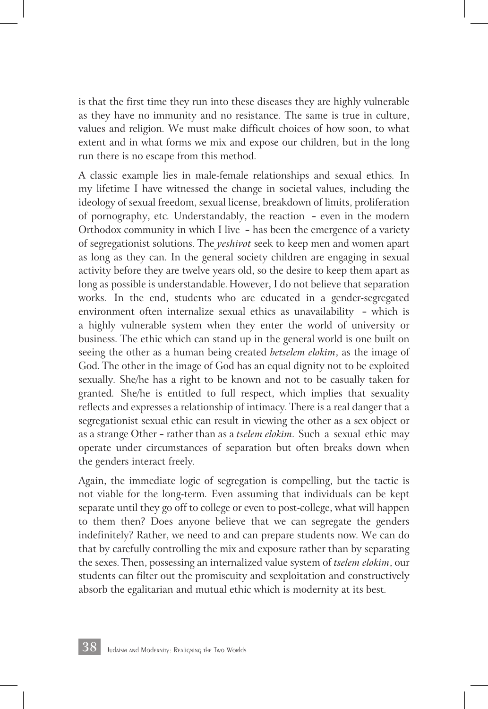is that the first time they run into these diseases they are highly vulnerable as they have no immunity and no resistance. The same is true in culture, values and religion. We must make difficult choices of how soon, to what extent and in what forms we mix and expose our children, but in the long run there is no escape from this method.

A classic example lies in male-female relationships and sexual ethics. In my lifetime I have witnessed the change in societal values, including the ideology of sexual freedom, sexual license, breakdown of limits, proliferation of pornography, etc. Understandably, the reaction — even in the modern Orthodox community in which I live — has been the emergence of a variety of segregationist solutions. The *yeshivot* seek to keep men and women apart as long as they can. In the general society children are engaging in sexual activity before they are twelve years old, so the desire to keep them apart as long as possible is understandable. However, I do not believe that separation works. In the end, students who are educated in a gender-segregated environment often internalize sexual ethics as unavailability — which is a highly vulnerable system when they enter the world of university or business. The ethic which can stand up in the general world is one built on seeing the other as a human being created *betselem elokim*, as the image of God. The other in the image of God has an equal dignity not to be exploited sexually. She/he has a right to be known and not to be casually taken for granted. She/he is entitled to full respect, which implies that sexuality reflects and expresses a relationship of intimacy. There is a real danger that a segregationist sexual ethic can result in viewing the other as a sex object or as a strange Other — rather than as a *tselem elokim*. Such a sexual ethic may operate under circumstances of separation but often breaks down when the genders interact freely.

Again, the immediate logic of segregation is compelling, but the tactic is not viable for the long-term. Even assuming that individuals can be kept separate until they go off to college or even to post-college, what will happen to them then? Does anyone believe that we can segregate the genders indefinitely? Rather, we need to and can prepare students now. We can do that by carefully controlling the mix and exposure rather than by separating the sexes. Then, possessing an internalized value system of *tselem elokim*, our students can filter out the promiscuity and sexploitation and constructively absorb the egalitarian and mutual ethic which is modernity at its best.

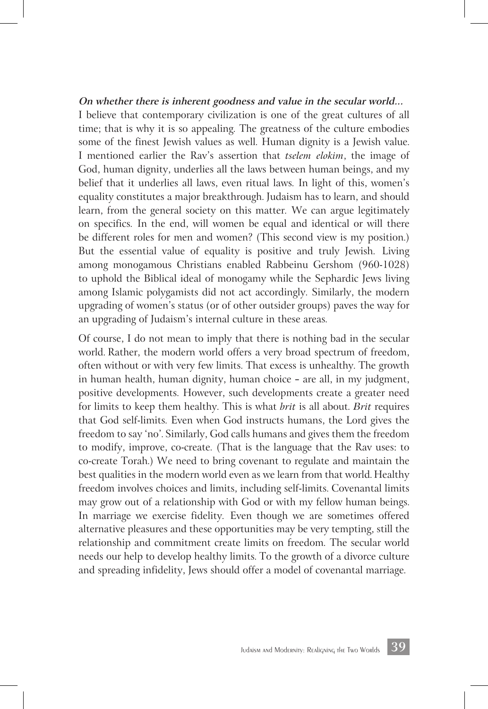#### **On whether there is inherent goodness and value in the secular world...**

I believe that contemporary civilization is one of the great cultures of all time; that is why it is so appealing. The greatness of the culture embodies some of the finest Jewish values as well. Human dignity is a Jewish value. I mentioned earlier the Rav's assertion that *tselem elokim*, the image of God, human dignity, underlies all the laws between human beings, and my belief that it underlies all laws, even ritual laws. In light of this, women's equality constitutes a major breakthrough. Judaism has to learn, and should learn, from the general society on this matter. We can argue legitimately on specifics. In the end, will women be equal and identical or will there be different roles for men and women? (This second view is my position.) But the essential value of equality is positive and truly Jewish. Living among monogamous Christians enabled Rabbeinu Gershom (960-1028) to uphold the Biblical ideal of monogamy while the Sephardic Jews living among Islamic polygamists did not act accordingly. Similarly, the modern upgrading of women's status (or of other outsider groups) paves the way for an upgrading of Judaism's internal culture in these areas.

Of course, I do not mean to imply that there is nothing bad in the secular world. Rather, the modern world offers a very broad spectrum of freedom, often without or with very few limits. That excess is unhealthy. The growth in human health, human dignity, human choice — are all, in my judgment, positive developments. However, such developments create a greater need for limits to keep them healthy. This is what *brit* is all about. *Brit* requires that God self-limits. Even when God instructs humans, the Lord gives the freedom to say 'no'. Similarly, God calls humans and gives them the freedom to modify, improve, co-create. (That is the language that the Rav uses: to co-create Torah.) We need to bring covenant to regulate and maintain the best qualities in the modern world even as we learn from that world. Healthy freedom involves choices and limits, including self-limits. Covenantal limits may grow out of a relationship with God or with my fellow human beings. In marriage we exercise fidelity. Even though we are sometimes offered alternative pleasures and these opportunities may be very tempting, still the relationship and commitment create limits on freedom. The secular world needs our help to develop healthy limits. To the growth of a divorce culture and spreading infidelity, Jews should offer a model of covenantal marriage.

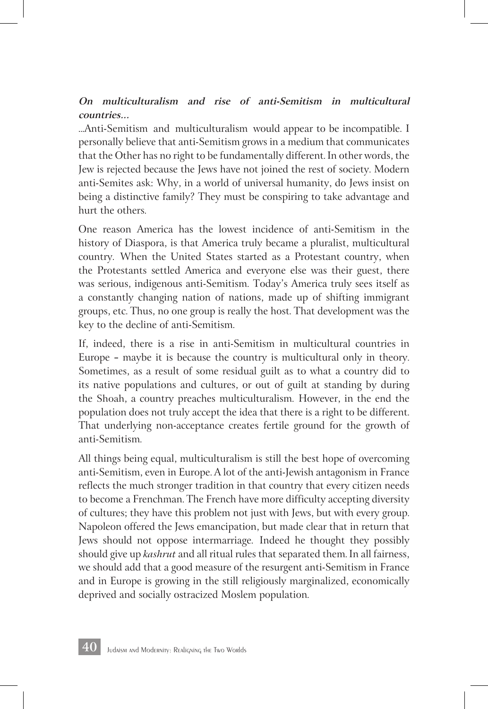#### **On multiculturalism and rise of anti-Semitism in multicultural countries...**

...Anti-Semitism and multiculturalism would appear to be incompatible. I personally believe that anti-Semitism grows in a medium that communicates that the Other has no right to be fundamentally different. In other words, the Jew is rejected because the Jews have not joined the rest of society. Modern anti-Semites ask: Why, in a world of universal humanity, do Jews insist on being a distinctive family? They must be conspiring to take advantage and hurt the others.

One reason America has the lowest incidence of anti-Semitism in the history of Diaspora, is that America truly became a pluralist, multicultural country. When the United States started as a Protestant country, when the Protestants settled America and everyone else was their guest, there was serious, indigenous anti-Semitism. Today's America truly sees itself as a constantly changing nation of nations, made up of shifting immigrant groups, etc. Thus, no one group is really the host. That development was the key to the decline of anti-Semitism.

If, indeed, there is a rise in anti-Semitism in multicultural countries in Europe — maybe it is because the country is multicultural only in theory. Sometimes, as a result of some residual guilt as to what a country did to its native populations and cultures, or out of guilt at standing by during the Shoah, a country preaches multiculturalism. However, in the end the population does not truly accept the idea that there is a right to be different. That underlying non-acceptance creates fertile ground for the growth of anti-Semitism.

All things being equal, multiculturalism is still the best hope of overcoming anti-Semitism, even in Europe. A lot of the anti-Jewish antagonism in France reflects the much stronger tradition in that country that every citizen needs to become a Frenchman. The French have more difficulty accepting diversity of cultures; they have this problem not just with Jews, but with every group. Napoleon offered the Jews emancipation, but made clear that in return that Jews should not oppose intermarriage. Indeed he thought they possibly should give up *kashrut* and all ritual rules that separated them. In all fairness, we should add that a good measure of the resurgent anti-Semitism in France and in Europe is growing in the still religiously marginalized, economically deprived and socially ostracized Moslem population.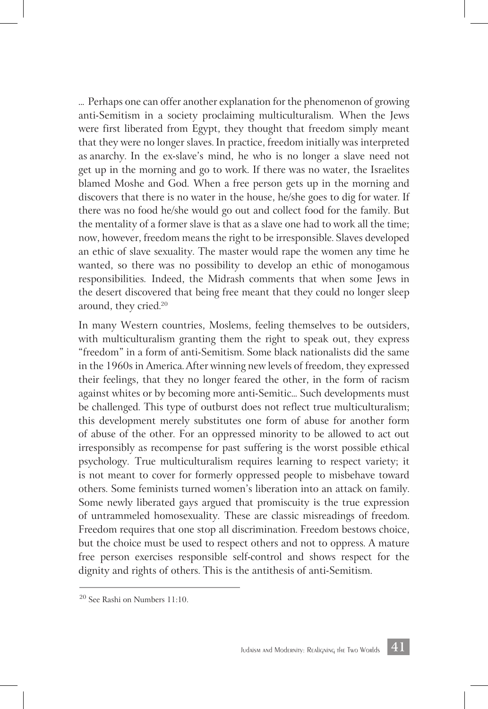... Perhaps one can offer another explanation for the phenomenon of growing anti-Semitism in a society proclaiming multiculturalism. When the Jews were first liberated from Egypt, they thought that freedom simply meant that they were no longer slaves. In practice, freedom initially was interpreted as anarchy. In the ex-slave's mind, he who is no longer a slave need not get up in the morning and go to work. If there was no water, the Israelites blamed Moshe and God. When a free person gets up in the morning and discovers that there is no water in the house, he/she goes to dig for water. If there was no food he/she would go out and collect food for the family. But the mentality of a former slave is that as a slave one had to work all the time; now, however, freedom means the right to be irresponsible. Slaves developed an ethic of slave sexuality. The master would rape the women any time he wanted, so there was no possibility to develop an ethic of monogamous responsibilities. Indeed, the Midrash comments that when some Jews in the desert discovered that being free meant that they could no longer sleep around, they cried. 20

In many Western countries, Moslems, feeling themselves to be outsiders, with multiculturalism granting them the right to speak out, they express "freedom" in a form of anti-Semitism. Some black nationalists did the same in the 1960s in America. After winning new levels of freedom, they expressed their feelings, that they no longer feared the other, in the form of racism against whites or by becoming more anti-Semitic... Such developments must be challenged. This type of outburst does not reflect true multiculturalism; this development merely substitutes one form of abuse for another form of abuse of the other. For an oppressed minority to be allowed to act out irresponsibly as recompense for past suffering is the worst possible ethical psychology. True multiculturalism requires learning to respect variety; it is not meant to cover for formerly oppressed people to misbehave toward others. Some feminists turned women's liberation into an attack on family. Some newly liberated gays argued that promiscuity is the true expression of untrammeled homosexuality. These are classic misreadings of freedom. Freedom requires that one stop all discrimination. Freedom bestows choice, but the choice must be used to respect others and not to oppress. A mature free person exercises responsible self-control and shows respect for the dignity and rights of others. This is the antithesis of anti-Semitism.



<sup>20</sup> See Rashi on Numbers 11:10.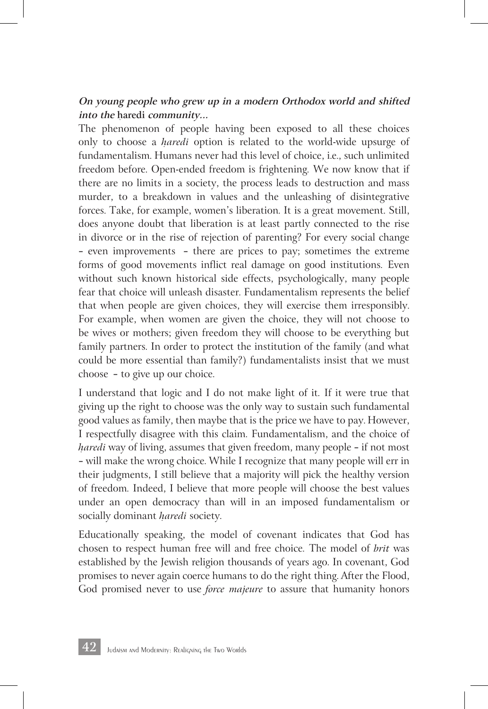#### **On young people who grew up in a modern Orthodox world and shifted into the h**ִ **aredi community...**

The phenomenon of people having been exposed to all these choices only to choose a *h*ִ *aredi* option is related to the world-wide upsurge of fundamentalism. Humans never had this level of choice, i.e., such unlimited freedom before. Open-ended freedom is frightening. We now know that if there are no limits in a society, the process leads to destruction and mass murder, to a breakdown in values and the unleashing of disintegrative forces. Take, for example, women's liberation. It is a great movement. Still, does anyone doubt that liberation is at least partly connected to the rise in divorce or in the rise of rejection of parenting? For every social change — even improvements — there are prices to pay; sometimes the extreme forms of good movements inflict real damage on good institutions. Even without such known historical side effects, psychologically, many people fear that choice will unleash disaster. Fundamentalism represents the belief that when people are given choices, they will exercise them irresponsibly. For example, when women are given the choice, they will not choose to be wives or mothers; given freedom they will choose to be everything but family partners. In order to protect the institution of the family (and what could be more essential than family?) fundamentalists insist that we must choose — to give up our choice.

I understand that logic and I do not make light of it. If it were true that giving up the right to choose was the only way to sustain such fundamental good values as family, then maybe that is the price we have to pay. However, I respectfully disagree with this claim. Fundamentalism, and the choice of *haredi* way of living, assumes that given freedom, many people – if not most — will make the wrong choice. While I recognize that many people will err in their judgments, I still believe that a majority will pick the healthy version of freedom. Indeed, I believe that more people will choose the best values under an open democracy than will in an imposed fundamentalism or socially dominant *haredi* society.

Educationally speaking, the model of covenant indicates that God has chosen to respect human free will and free choice. The model of *brit* was established by the Jewish religion thousands of years ago. In covenant, God promises to never again coerce humans to do the right thing. After the Flood, God promised never to use *force majeure* to assure that humanity honors

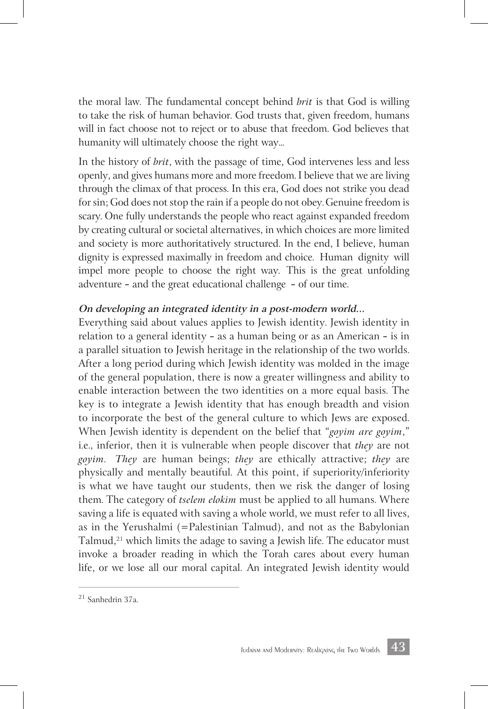the moral law. The fundamental concept behind *brit* is that God is willing to take the risk of human behavior. God trusts that, given freedom, humans will in fact choose not to reject or to abuse that freedom. God believes that humanity will ultimately choose the right way...

In the history of *brit*, with the passage of time, God intervenes less and less openly, and gives humans more and more freedom. I believe that we are living through the climax of that process. In this era, God does not strike you dead for sin; God does not stop the rain if a people do not obey. Genuine freedom is scary. One fully understands the people who react against expanded freedom by creating cultural or societal alternatives, in which choices are more limited and society is more authoritatively structured. In the end, I believe, human dignity is expressed maximally in freedom and choice. Human dignity will impel more people to choose the right way. This is the great unfolding adventure — and the great educational challenge — of our time.

#### **On developing an integrated identity in a post-modern world...**

Everything said about values applies to Jewish identity. Jewish identity in relation to a general identity — as a human being or as an American — is in a parallel situation to Jewish heritage in the relationship of the two worlds. After a long period during which Jewish identity was molded in the image of the general population, there is now a greater willingness and ability to enable interaction between the two identities on a more equal basis. The key is to integrate a Jewish identity that has enough breadth and vision to incorporate the best of the general culture to which Jews are exposed. When Jewish identity is dependent on the belief that "*goyim are goyim*," i.e., inferior, then it is vulnerable when people discover that *they* are not *goyim*. *They* are human beings; *they* are ethically attractive; *they* are physically and mentally beautiful. At this point, if superiority/inferiority is what we have taught our students, then we risk the danger of losing them. The category of *tselem elokim* must be applied to all humans. Where saving a life is equated with saving a whole world, we must refer to all lives, as in the Yerushalmi (=Palestinian Talmud), and not as the Babylonian Talmud, $21$  which limits the adage to saving a Jewish life. The educator must invoke a broader reading in which the Torah cares about every human life, or we lose all our moral capital. An integrated Jewish identity would



<sup>21</sup> Sanhedrin 37a.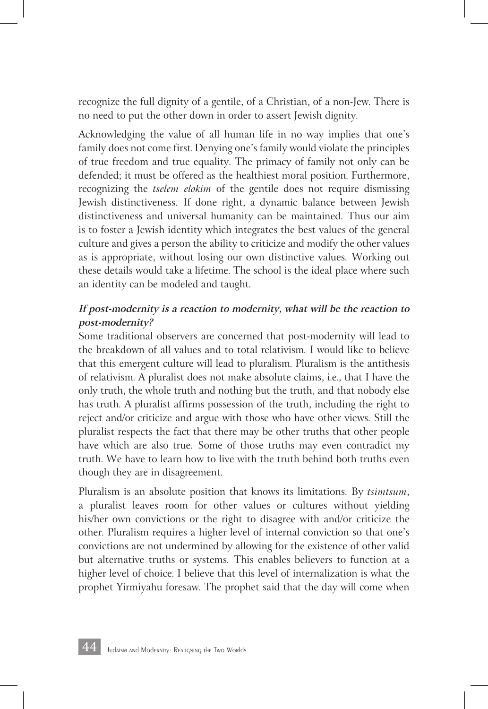recognize the full dignity of a gentile, of a Christian, of a non-Jew. There is no need to put the other down in order to assert Jewish dignity.

Acknowledging the value of all human life in no way implies that one's family does not come first. Denying one's family would violate the principles of true freedom and true equality. The primacy of family not only can be defended; it must be offered as the healthiest moral position. Furthermore, recognizing the *tselem elokim* of the gentile does not require dismissing Jewish distinctiveness. If done right, a dynamic balance between Jewish distinctiveness and universal humanity can be maintained. Thus our aim is to foster a Jewish identity which integrates the best values of the general culture and gives a person the ability to criticize and modify the other values as is appropriate, without losing our own distinctive values. Working out these details would take a lifetime. The school is the ideal place where such an identity can be modeled and taught.

#### **If post-modernity is a reaction to modernity, what will be the reaction to post-modernity?**

Some traditional observers are concerned that post-modernity will lead to the breakdown of all values and to total relativism. I would like to believe that this emergent culture will lead to pluralism. Pluralism is the antithesis of relativism. A pluralist does not make absolute claims, i.e., that I have the only truth, the whole truth and nothing but the truth, and that nobody else has truth. A pluralist affirms possession of the truth, including the right to reject and/or criticize and argue with those who have other views. Still the pluralist respects the fact that there may be other truths that other people have which are also true. Some of those truths may even contradict my truth. We have to learn how to live with the truth behind both truths even though they are in disagreement.

Pluralism is an absolute position that knows its limitations. By *tsimtsum*, a pluralist leaves room for other values or cultures without yielding his/her own convictions or the right to disagree with and/or criticize the other. Pluralism requires a higher level of internal conviction so that one's convictions are not undermined by allowing for the existence of other valid but alternative truths or systems. This enables believers to function at a higher level of choice. I believe that this level of internalization is what the prophet Yirmiyahu foresaw. The prophet said that the day will come when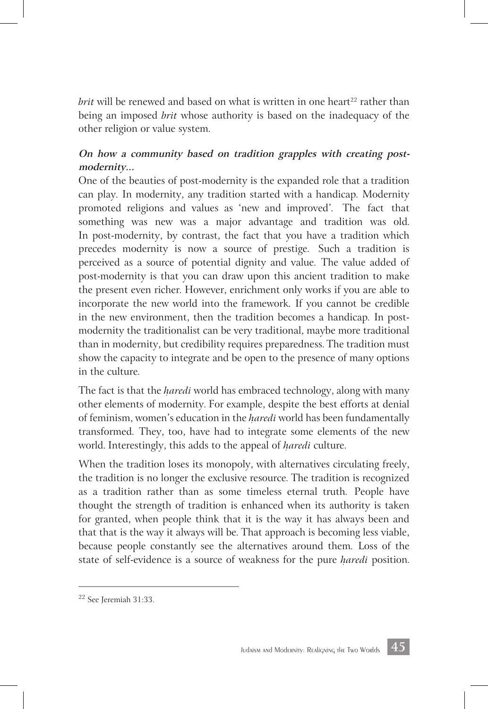*brit* will be renewed and based on what is written in one heart<sup>22</sup> rather than being an imposed *brit* whose authority is based on the inadequacy of the other religion or value system.

#### **On how a community based on tradition grapples with creating postmodernity...**

One of the beauties of post-modernity is the expanded role that a tradition can play. In modernity, any tradition started with a handicap. Modernity promoted religions and values as 'new and improved'. The fact that something was new was a major advantage and tradition was old. In post-modernity, by contrast, the fact that you have a tradition which precedes modernity is now a source of prestige. Such a tradition is perceived as a source of potential dignity and value. The value added of post-modernity is that you can draw upon this ancient tradition to make the present even richer. However, enrichment only works if you are able to incorporate the new world into the framework. If you cannot be credible in the new environment, then the tradition becomes a handicap. In postmodernity the traditionalist can be very traditional, maybe more traditional than in modernity, but credibility requires preparedness. The tradition must show the capacity to integrate and be open to the presence of many options in the culture.

The fact is that the *haredi* world has embraced technology, along with many other elements of modernity. For example, despite the best efforts at denial of feminism, women's education in the *haredi* world has been fundamentally transformed. They, too, have had to integrate some elements of the new world. Interestingly, this adds to the appeal of *haredi* culture.

When the tradition loses its monopoly, with alternatives circulating freely, the tradition is no longer the exclusive resource. The tradition is recognized as a tradition rather than as some timeless eternal truth. People have thought the strength of tradition is enhanced when its authority is taken for granted, when people think that it is the way it has always been and that that is the way it always will be. That approach is becoming less viable, because people constantly see the alternatives around them. Loss of the state of self-evidence is a source of weakness for the pure *haredi* position.



<sup>22</sup> See Jeremiah 31:33.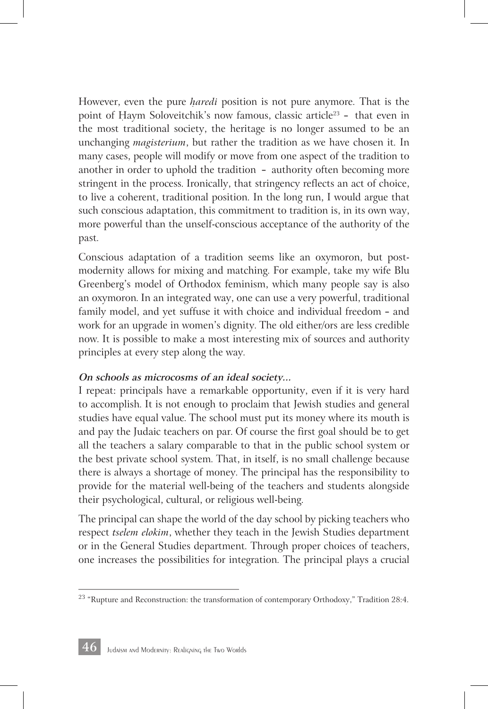However, even the pure *haredi* position is not pure anymore. That is the point of Haym Soloveitchik's now famous, classic article<sup>23</sup> - that even in the most traditional society, the heritage is no longer assumed to be an unchanging *magisterium*, but rather the tradition as we have chosen it. In many cases, people will modify or move from one aspect of the tradition to another in order to uphold the tradition — authority often becoming more stringent in the process. Ironically, that stringency reflects an act of choice, to live a coherent, traditional position. In the long run, I would argue that such conscious adaptation, this commitment to tradition is, in its own way, more powerful than the unself-conscious acceptance of the authority of the past.

Conscious adaptation of a tradition seems like an oxymoron, but postmodernity allows for mixing and matching. For example, take my wife Blu Greenberg's model of Orthodox feminism, which many people say is also an oxymoron. In an integrated way, one can use a very powerful, traditional family model, and yet suffuse it with choice and individual freedom — and work for an upgrade in women's dignity. The old either/ors are less credible now. It is possible to make a most interesting mix of sources and authority principles at every step along the way.

#### **On schools as microcosms of an ideal society...**

I repeat: principals have a remarkable opportunity, even if it is very hard to accomplish. It is not enough to proclaim that Jewish studies and general studies have equal value. The school must put its money where its mouth is and pay the Judaic teachers on par. Of course the first goal should be to get all the teachers a salary comparable to that in the public school system or the best private school system. That, in itself, is no small challenge because there is always a shortage of money. The principal has the responsibility to provide for the material well-being of the teachers and students alongside their psychological, cultural, or religious well-being.

The principal can shape the world of the day school by picking teachers who respect *tselem elokim*, whether they teach in the Jewish Studies department or in the General Studies department. Through proper choices of teachers, one increases the possibilities for integration. The principal plays a crucial



 $^{23}$  "Rupture and Reconstruction: the transformation of contemporary Orthodoxy," Tradition 28:4.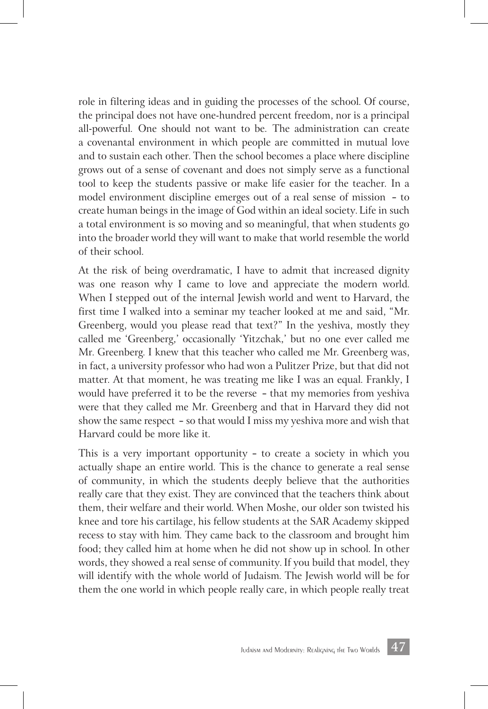role in filtering ideas and in guiding the processes of the school. Of course, the principal does not have one-hundred percent freedom, nor is a principal all-powerful. One should not want to be. The administration can create a covenantal environment in which people are committed in mutual love and to sustain each other. Then the school becomes a place where discipline grows out of a sense of covenant and does not simply serve as a functional tool to keep the students passive or make life easier for the teacher. In a model environment discipline emerges out of a real sense of mission — to create human beings in the image of God within an ideal society. Life in such a total environment is so moving and so meaningful, that when students go into the broader world they will want to make that world resemble the world of their school.

At the risk of being overdramatic, I have to admit that increased dignity was one reason why I came to love and appreciate the modern world. When I stepped out of the internal Jewish world and went to Harvard, the first time I walked into a seminar my teacher looked at me and said, "Mr. Greenberg, would you please read that text?" In the yeshiva, mostly they called me 'Greenberg,' occasionally 'Yitzchak,' but no one ever called me Mr. Greenberg. I knew that this teacher who called me Mr. Greenberg was, in fact, a university professor who had won a Pulitzer Prize, but that did not matter. At that moment, he was treating me like I was an equal. Frankly, I would have preferred it to be the reverse — that my memories from yeshiva were that they called me Mr. Greenberg and that in Harvard they did not show the same respect — so that would I miss my yeshiva more and wish that Harvard could be more like it.

This is a very important opportunity — to create a society in which you actually shape an entire world. This is the chance to generate a real sense of community, in which the students deeply believe that the authorities really care that they exist. They are convinced that the teachers think about them, their welfare and their world. When Moshe, our older son twisted his knee and tore his cartilage, his fellow students at the SAR Academy skipped recess to stay with him. They came back to the classroom and brought him food; they called him at home when he did not show up in school. In other words, they showed a real sense of community. If you build that model, they will identify with the whole world of Judaism. The Jewish world will be for them the one world in which people really care, in which people really treat